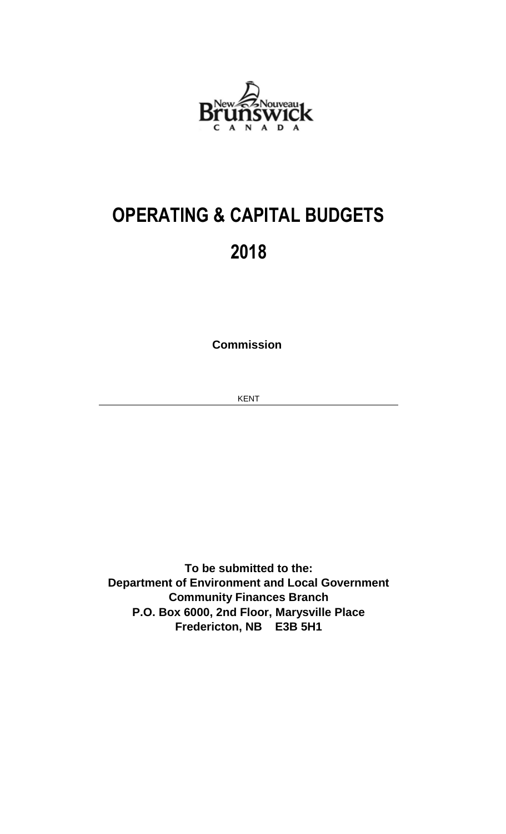

## **OPERATING & CAPITAL BUDGETS 2018**

**Commission** 

KENT

**Fredericton, NB E3B 5H1 To be submitted to the: Department of Environment and Local Government Community Finances Branch P.O. Box 6000, 2nd Floor, Marysville Place**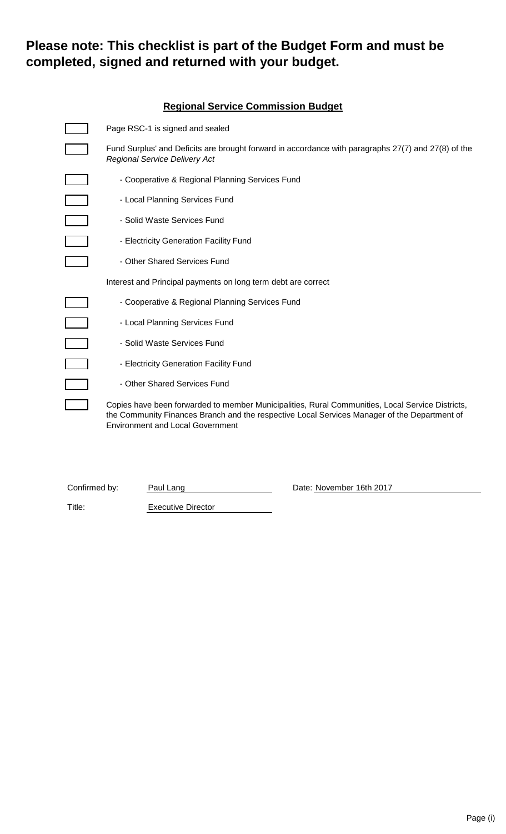### **Please note: This checklist is part of the Budget Form and must be completed, signed and returned with your budget.**

|                   | <b>Regional Service Commission Budget</b>                                                                                                                                                                                                   |  |  |  |  |  |
|-------------------|---------------------------------------------------------------------------------------------------------------------------------------------------------------------------------------------------------------------------------------------|--|--|--|--|--|
|                   | Page RSC-1 is signed and sealed                                                                                                                                                                                                             |  |  |  |  |  |
|                   | Fund Surplus' and Deficits are brought forward in accordance with paragraphs 27(7) and 27(8) of the<br>Regional Service Delivery Act                                                                                                        |  |  |  |  |  |
|                   | - Cooperative & Regional Planning Services Fund                                                                                                                                                                                             |  |  |  |  |  |
|                   | - Local Planning Services Fund                                                                                                                                                                                                              |  |  |  |  |  |
|                   | - Solid Waste Services Fund                                                                                                                                                                                                                 |  |  |  |  |  |
|                   | - Electricity Generation Facility Fund                                                                                                                                                                                                      |  |  |  |  |  |
|                   | - Other Shared Services Fund                                                                                                                                                                                                                |  |  |  |  |  |
|                   | Interest and Principal payments on long term debt are correct                                                                                                                                                                               |  |  |  |  |  |
|                   | - Cooperative & Regional Planning Services Fund                                                                                                                                                                                             |  |  |  |  |  |
|                   | - Local Planning Services Fund                                                                                                                                                                                                              |  |  |  |  |  |
|                   | - Solid Waste Services Fund                                                                                                                                                                                                                 |  |  |  |  |  |
| $\overline{\Box}$ | - Electricity Generation Facility Fund                                                                                                                                                                                                      |  |  |  |  |  |
| $\Box$            | - Other Shared Services Fund                                                                                                                                                                                                                |  |  |  |  |  |
|                   | Copies have been forwarded to member Municipalities, Rural Communities, Local Service Districts,<br>the Community Finances Branch and the respective Local Services Manager of the Department of<br><b>Environment and Local Government</b> |  |  |  |  |  |

| Confirmed by: |
|---------------|
|---------------|

Confirmed by: Paul Lang Date: November 16th 2017

Title: Executive Director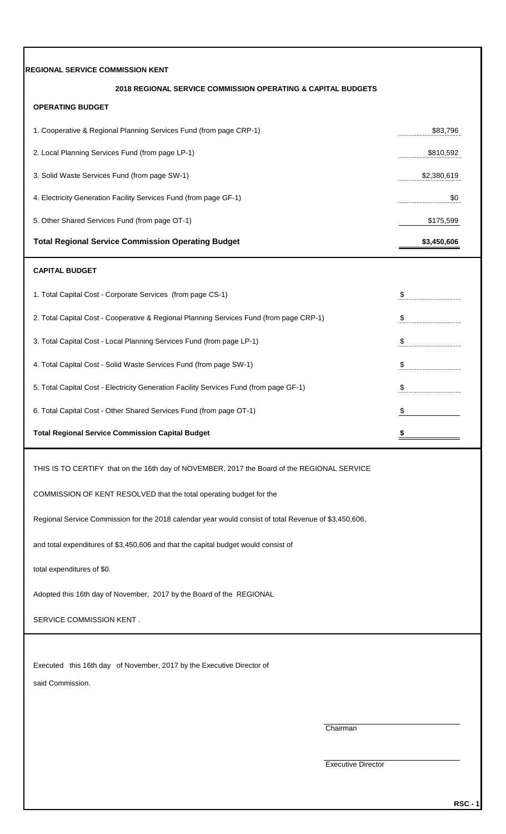| <b>REGIONAL SERVICE COMMISSION KENT</b>                                                               |                           |
|-------------------------------------------------------------------------------------------------------|---------------------------|
| 2018 REGIONAL SERVICE COMMISSION OPERATING & CAPITAL BUDGETS                                          |                           |
| <b>OPERATING BUDGET</b>                                                                               |                           |
| 1. Cooperative & Regional Planning Services Fund (from page CRP-1)                                    | \$83,796                  |
| 2. Local Planning Services Fund (from page LP-1)                                                      | \$810,592                 |
| 3. Solid Waste Services Fund (from page SW-1)                                                         | \$2,380,619               |
| 4. Electricity Generation Facility Services Fund (from page GF-1)                                     | \$0                       |
| 5. Other Shared Services Fund (from page OT-1)                                                        | \$175,599                 |
| <b>Total Regional Service Commission Operating Budget</b>                                             | \$3,450,606               |
| <b>CAPITAL BUDGET</b>                                                                                 |                           |
| 1. Total Capital Cost - Corporate Services (from page CS-1)                                           | \$                        |
| 2. Total Capital Cost - Cooperative & Regional Planning Services Fund (from page CRP-1)               | $\boldsymbol{\mathsf{S}}$ |
| 3. Total Capital Cost - Local Planning Services Fund (from page LP-1)                                 | \$                        |
| 4. Total Capital Cost - Solid Waste Services Fund (from page SW-1)                                    | \$<br>                    |
| 5. Total Capital Cost - Electricity Generation Facility Services Fund (from page GF-1)                | \$                        |
| 6. Total Capital Cost - Other Shared Services Fund (from page OT-1)                                   | \$                        |
| <b>Total Regional Service Commission Capital Budget</b>                                               |                           |
| THIS IS TO CERTIFY that on the 16th day of NOVEMBER, 2017 the Board of the REGIONAL SERVICE           |                           |
| COMMISSION OF KENT RESOLVED that the total operating budget for the                                   |                           |
| Regional Service Commission for the 2018 calendar year would consist of total Revenue of \$3,450,606, |                           |
| and total expenditures of \$3,450,606 and that the capital budget would consist of                    |                           |
| total expenditures of \$0.                                                                            |                           |
| Adopted this 16th day of November, 2017 by the Board of the REGIONAL                                  |                           |
| SERVICE COMMISSION KENT.                                                                              |                           |
|                                                                                                       |                           |
| Executed this 16th day of November, 2017 by the Executive Director of                                 |                           |
| said Commission.                                                                                      |                           |
| Chairman                                                                                              |                           |
|                                                                                                       |                           |
| <b>Executive Director</b>                                                                             |                           |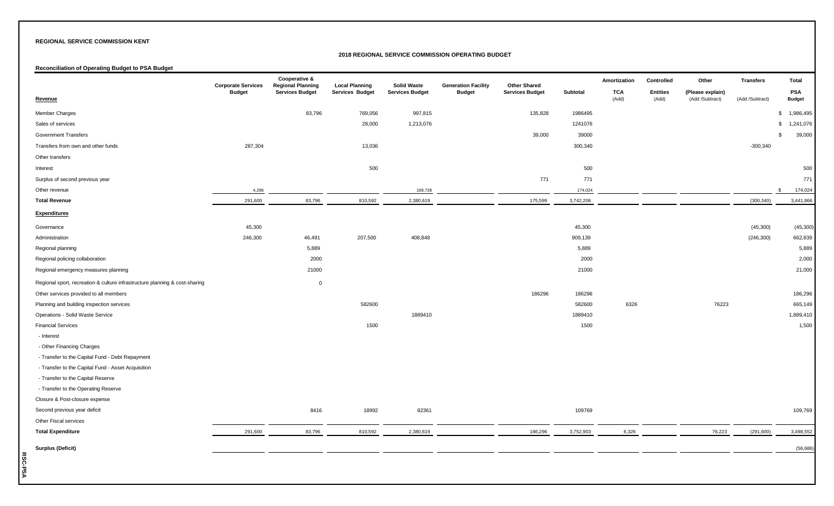#### **2018 REGIONAL SERVICE COMMISSION OPERATING BUDGET**

#### **Reconciliation of Operating Budget to PSA Budget**

|                                                                             | <b>Corporate Services</b> | Cooperative &<br><b>Regional Planning</b> | <b>Local Planning</b> | <b>Solid Waste</b>     | <b>Generation Facility</b> | <b>Other Shared</b>    |           | Amortization        | Controlled               | Other                               | <b>Transfers</b> | <b>Total</b>                |
|-----------------------------------------------------------------------------|---------------------------|-------------------------------------------|-----------------------|------------------------|----------------------------|------------------------|-----------|---------------------|--------------------------|-------------------------------------|------------------|-----------------------------|
| <b>Revenue</b>                                                              | <b>Budget</b>             | <b>Services Budget</b>                    | Services Budget       | <b>Services Budget</b> | <b>Budget</b>              | <b>Services Budget</b> | Subtotal  | <b>TCA</b><br>(Add) | <b>Entities</b><br>(Add) | (Please explain)<br>(Add /Subtract) | (Add /Subtract)  | <b>PSA</b><br><b>Budget</b> |
| Member Charges                                                              |                           | 83,796                                    | 769,056               | 997,815                |                            | 135,828                | 1986495   |                     |                          |                                     |                  | 1,986,495<br>\$             |
| Sales of services                                                           |                           |                                           | 28,000                | 1,213,076              |                            |                        | 1241076   |                     |                          |                                     |                  | \$<br>1,241,076             |
| <b>Government Transfers</b>                                                 |                           |                                           |                       |                        |                            | 39,000                 | 39000     |                     |                          |                                     |                  | 39,000<br>\$                |
| Transfers from own and other funds                                          | 287,304                   |                                           | 13,036                |                        |                            |                        | 300,340   |                     |                          |                                     | $-300,340$       |                             |
| Other transfers                                                             |                           |                                           |                       |                        |                            |                        |           |                     |                          |                                     |                  |                             |
| Interest                                                                    |                           |                                           | 500                   |                        |                            |                        | 500       |                     |                          |                                     |                  | 500                         |
| Surplus of second previous year                                             |                           |                                           |                       |                        |                            | 771                    | 771       |                     |                          |                                     |                  | 771                         |
| Other revenue                                                               | 4,296                     |                                           |                       | 169,728                |                            |                        | 174,024   |                     |                          |                                     |                  | 174,024<br>$\mathfrak{L}$   |
| <b>Total Revenue</b>                                                        | 291,600                   | 83,796                                    | 810,592               | 2,380,619              |                            | 175,599                | 3,742,206 |                     |                          |                                     | (300, 340)       | 3,441,866                   |
| <b>Expenditures</b>                                                         |                           |                                           |                       |                        |                            |                        |           |                     |                          |                                     |                  |                             |
| Governance                                                                  | 45,300                    |                                           |                       |                        |                            |                        | 45,300    |                     |                          |                                     | (45,300)         | (45, 300)                   |
| Administration                                                              | 246,300                   | 46,491                                    | 207,500               | 408,848                |                            |                        | 909,139   |                     |                          |                                     | (246, 300)       | 662,839                     |
| Regional planning                                                           |                           | 5,889                                     |                       |                        |                            |                        | 5,889     |                     |                          |                                     |                  | 5,889                       |
| Regional policing collaboration                                             |                           | 2000                                      |                       |                        |                            |                        | 2000      |                     |                          |                                     |                  | 2,000                       |
| Regional emergency measures planning                                        |                           | 21000                                     |                       |                        |                            |                        | 21000     |                     |                          |                                     |                  | 21,000                      |
| Regional sport, recreation & culture infrastructure planning & cost-sharing |                           | $\mathbf 0$                               |                       |                        |                            |                        |           |                     |                          |                                     |                  |                             |
| Other services provided to all members                                      |                           |                                           |                       |                        |                            | 186296                 | 186296    |                     |                          |                                     |                  | 186,296                     |
| Planning and building inspection services                                   |                           |                                           | 582600                |                        |                            |                        | 582600    | 6326                |                          | 76223                               |                  | 665,149                     |
| Operations - Solid Waste Service                                            |                           |                                           |                       | 1889410                |                            |                        | 1889410   |                     |                          |                                     |                  | 1,889,410                   |
| <b>Financial Services</b>                                                   |                           |                                           | 1500                  |                        |                            |                        | 1500      |                     |                          |                                     |                  | 1,500                       |
| - Interest                                                                  |                           |                                           |                       |                        |                            |                        |           |                     |                          |                                     |                  |                             |
| - Other Financing Charges                                                   |                           |                                           |                       |                        |                            |                        |           |                     |                          |                                     |                  |                             |
| - Transfer to the Capital Fund - Debt Repayment                             |                           |                                           |                       |                        |                            |                        |           |                     |                          |                                     |                  |                             |
| - Transfer to the Capital Fund - Asset Acquisition                          |                           |                                           |                       |                        |                            |                        |           |                     |                          |                                     |                  |                             |
| - Transfer to the Capital Reserve                                           |                           |                                           |                       |                        |                            |                        |           |                     |                          |                                     |                  |                             |
| - Transfer to the Operating Reserve                                         |                           |                                           |                       |                        |                            |                        |           |                     |                          |                                     |                  |                             |
| Closure & Post-closure expense                                              |                           |                                           |                       |                        |                            |                        |           |                     |                          |                                     |                  |                             |
| Second previous year deficit                                                |                           | 8416                                      | 18992                 | 82361                  |                            |                        | 109769    |                     |                          |                                     |                  | 109,769                     |
| Other Fiscal services                                                       |                           |                                           |                       |                        |                            |                        |           |                     |                          |                                     |                  |                             |
| <b>Total Expenditure</b>                                                    | 291,600                   | 83,796                                    | 810,592               | 2,380,619              |                            | 186,296                | 3,752,903 | 6,326               |                          | 76,223                              | (291, 600)       | 3,498,552                   |
| <b>Surplus (Deficit)</b>                                                    |                           |                                           |                       |                        |                            |                        |           |                     |                          |                                     |                  | (56, 686)                   |

RSC-PSA **RSC-PSA**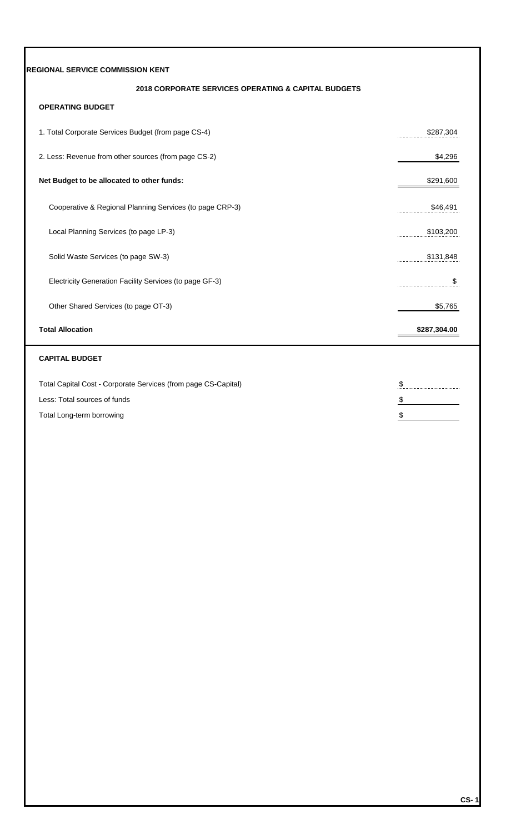### **2018 CORPORATE SERVICES OPERATING & CAPITAL BUDGETS**

### **OPERATING BUDGET**

| 1. Total Corporate Services Budget (from page CS-4)      | \$287.304<br>. |
|----------------------------------------------------------|----------------|
| 2. Less: Revenue from other sources (from page CS-2)     | \$4,296        |
| Net Budget to be allocated to other funds:               | \$291,600      |
| Cooperative & Regional Planning Services (to page CRP-3) | \$46,491<br>   |
| Local Planning Services (to page LP-3)                   | \$103,200<br>  |
| Solid Waste Services (to page SW-3)                      | \$131,848<br>  |
| Electricity Generation Facility Services (to page GF-3)  | S<br>          |
| Other Shared Services (to page OT-3)                     | \$5,765        |
| <b>Total Allocation</b>                                  | \$287,304.00   |

### **CAPITAL BUDGET**

| Total Capital Cost - Corporate Services (from page CS-Capital) |  |
|----------------------------------------------------------------|--|
| Less: Total sources of funds                                   |  |
| Total Long-term borrowing                                      |  |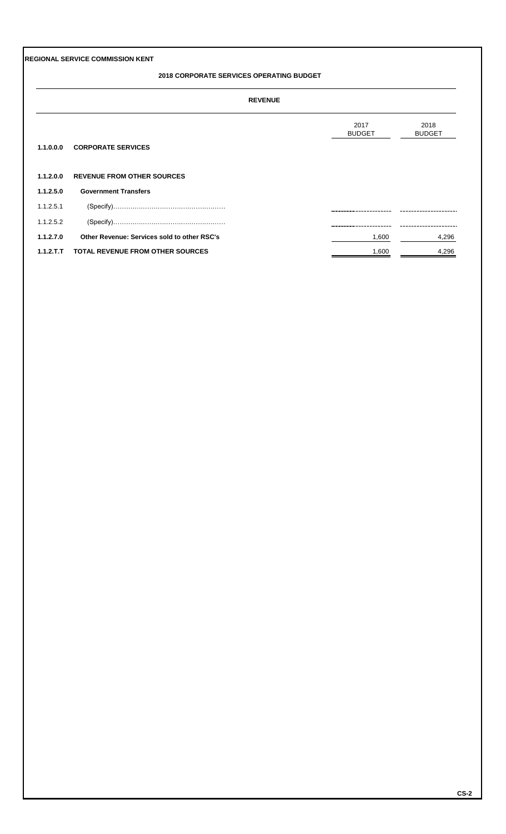#### **2018 CORPORATE SERVICES OPERATING BUDGET**

#### **REVENUE**

|            |                                             | 2017<br><b>BUDGET</b> | 2018<br><b>BUDGET</b> |
|------------|---------------------------------------------|-----------------------|-----------------------|
| 1.1.0.0.0  | <b>CORPORATE SERVICES</b>                   |                       |                       |
| 1.1.2.0.0  | <b>REVENUE FROM OTHER SOURCES</b>           |                       |                       |
| 1.1.2.5.0  | <b>Government Transfers</b>                 |                       |                       |
| 1.1.2.5.1  |                                             |                       |                       |
| 1.1.2.5.2  |                                             |                       |                       |
| 1.1.2.7.0  | Other Revenue: Services sold to other RSC's | 1,600                 | 4,296                 |
| 1.1.2.T.T. | <b>TOTAL REVENUE FROM OTHER SOURCES</b>     | 1,600                 | 4,296                 |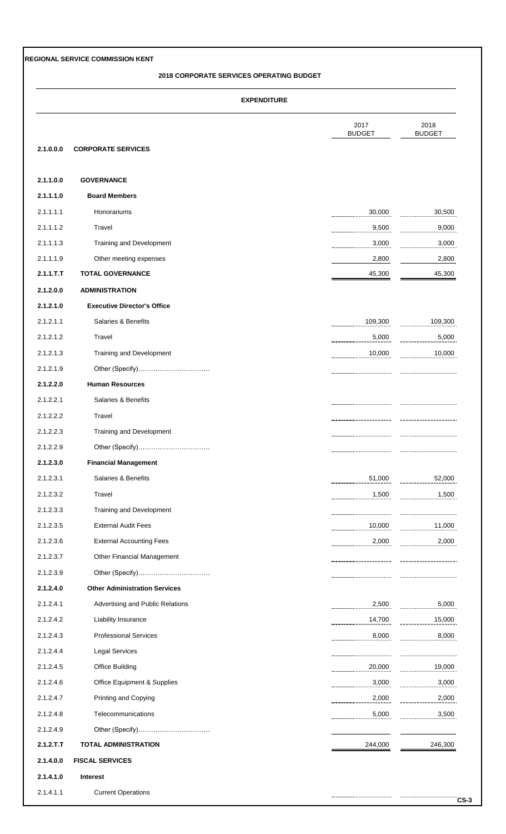#### **2018 CORPORATE SERVICES OPERATING BUDGET**

|           |                                      | 2017<br><b>BUDGET</b> | 2018<br><b>BUDGET</b> |
|-----------|--------------------------------------|-----------------------|-----------------------|
| 2.1.0.0.0 | <b>CORPORATE SERVICES</b>            |                       |                       |
| 2.1.1.0.0 | <b>GOVERNANCE</b>                    |                       |                       |
| 2.1.1.1.0 | <b>Board Members</b>                 |                       |                       |
| 2.1.1.1.1 | Honorariums                          | 30,000                | 30,500                |
| 2.1.1.1.2 | Travel                               | 9,500                 | 9,000                 |
| 2.1.1.1.3 | Training and Development             | 3,000                 | 3,000                 |
| 2.1.1.1.9 | Other meeting expenses               | 2,800                 | 2,800                 |
| 2.1.1.T.T | <b>TOTAL GOVERNANCE</b>              | 45,300                | 45,300                |
| 2.1.2.0.0 | <b>ADMINISTRATION</b>                |                       |                       |
| 2.1.2.1.0 | <b>Executive Director's Office</b>   |                       |                       |
| 2.1.2.1.1 | Salaries & Benefits                  | 109,300               | 109,300               |
| 2.1.2.1.2 | Travel                               | 5,000                 | 5,000                 |
| 2.1.2.1.3 | Training and Development             | 10,000                | 10,000                |
| 2.1.2.1.9 | Other (Specify)                      |                       |                       |
| 2.1.2.2.0 | <b>Human Resources</b>               |                       |                       |
| 2.1.2.2.1 | Salaries & Benefits                  |                       |                       |
| 2.1.2.2.2 | Travel                               |                       |                       |
| 2.1.2.2.3 | Training and Development             |                       |                       |
| 2.1.2.2.9 |                                      |                       |                       |
| 2.1.2.3.0 | <b>Financial Management</b>          |                       |                       |
| 2.1.2.3.1 | Salaries & Benefits                  | 51,000<br>.           | 52,000                |
| 2.1.2.3.2 | Travel                               | 1,500                 | 1,500                 |
| 2.1.2.3.3 | Training and Development             |                       |                       |
| 2.1.2.3.5 | <b>External Audit Fees</b>           | 10,000                | 11,000                |
| 2.1.2.3.6 | <b>External Accounting Fees</b>      | 2,000                 | 2,000                 |
| 2.1.2.3.7 | Other Financial Management           |                       |                       |
| 2.1.2.3.9 | Other (Specify)                      |                       |                       |
| 2.1.2.4.0 | <b>Other Administration Services</b> |                       |                       |
| 2.1.2.4.1 | Advertising and Public Relations     | 2,500                 | 5,000                 |
| 2.1.2.4.2 | Liability Insurance                  | 14,700                | 15,000                |
| 2.1.2.4.3 | <b>Professional Services</b>         | 8,000                 | 8,000                 |
| 2.1.2.4.4 | <b>Legal Services</b>                |                       |                       |
| 2.1.2.4.5 | <b>Office Building</b>               | 20,000                | 19,000                |
| 2.1.2.4.6 | Office Equipment & Supplies          | 3,000                 | 3,000                 |
| 2.1.2.4.7 | <b>Printing and Copying</b>          | 2,000                 | 2,000                 |
| 2.1.2.4.8 | Telecommunications                   | 5,000                 | 3,500                 |
| 2.1.2.4.9 | Other (Specify)                      |                       |                       |
| 2.1.2.T.T | <b>TOTAL ADMINISTRATION</b>          | 244,000               | 246,300               |
| 2.1.4.0.0 | <b>FISCAL SERVICES</b>               |                       |                       |
| 2.1.4.1.0 | <b>Interest</b>                      |                       |                       |
| 2.1.4.1.1 | <b>Current Operations</b>            |                       |                       |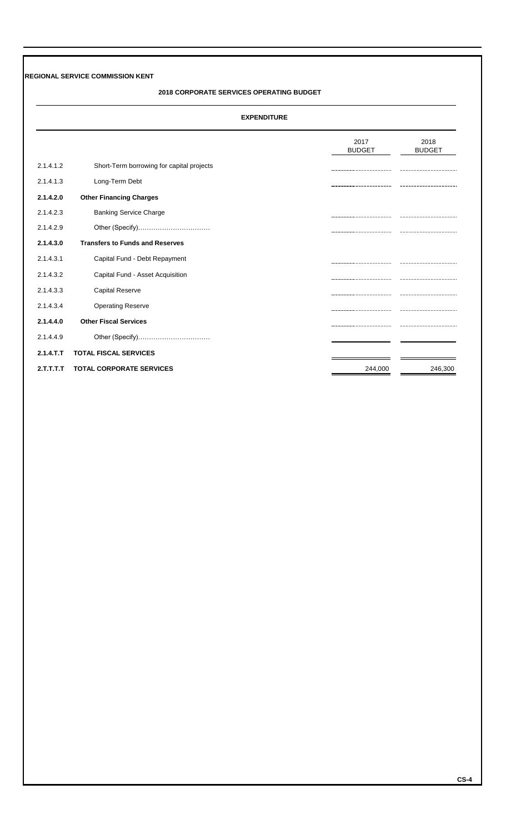#### **2018 CORPORATE SERVICES OPERATING BUDGET**

|           |                                           | 2017                               | 2018          |
|-----------|-------------------------------------------|------------------------------------|---------------|
|           |                                           | <b>BUDGET</b>                      | <b>BUDGET</b> |
|           |                                           |                                    |               |
| 2.1.4.1.2 | Short-Term borrowing for capital projects |                                    |               |
| 2.1.4.1.3 | Long-Term Debt                            |                                    |               |
| 2.1.4.2.0 | <b>Other Financing Charges</b>            |                                    |               |
| 2.1.4.2.3 | <b>Banking Service Charge</b>             |                                    |               |
| 2.1.4.2.9 | Other (Specify)                           | ---------------------------------- |               |
| 2.1.4.3.0 | <b>Transfers to Funds and Reserves</b>    |                                    |               |
| 2.1.4.3.1 | Capital Fund - Debt Repayment             |                                    |               |
| 2.1.4.3.2 | Capital Fund - Asset Acquisition          |                                    |               |
| 2.1.4.3.3 | <b>Capital Reserve</b>                    |                                    |               |
| 2.1.4.3.4 | <b>Operating Reserve</b>                  |                                    |               |
| 2.1.4.4.0 | <b>Other Fiscal Services</b>              |                                    |               |
| 2.1.4.4.9 |                                           |                                    |               |
| 2.1.4.T.T | <b>TOTAL FISCAL SERVICES</b>              |                                    |               |
| 2.T.T.T.T | <b>TOTAL CORPORATE SERVICES</b>           | 244,000                            | 246,300       |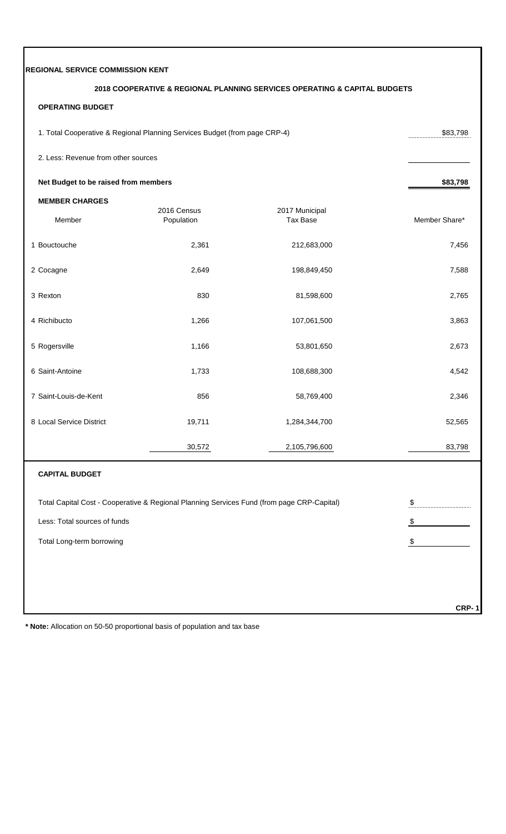| REGIONAL SERVICE COMMISSION KENT     |                                                                                            |                                                                           |               |
|--------------------------------------|--------------------------------------------------------------------------------------------|---------------------------------------------------------------------------|---------------|
|                                      |                                                                                            | 2018 COOPERATIVE & REGIONAL PLANNING SERVICES OPERATING & CAPITAL BUDGETS |               |
| <b>OPERATING BUDGET</b>              |                                                                                            |                                                                           |               |
|                                      | 1. Total Cooperative & Regional Planning Services Budget (from page CRP-4)                 |                                                                           | \$83,798      |
| 2. Less: Revenue from other sources  |                                                                                            |                                                                           |               |
| Net Budget to be raised from members |                                                                                            |                                                                           | \$83,798      |
| <b>MEMBER CHARGES</b>                |                                                                                            |                                                                           |               |
| Member                               | 2016 Census<br>Population                                                                  | 2017 Municipal<br><b>Tax Base</b>                                         | Member Share* |
| 1 Bouctouche                         | 2,361                                                                                      | 212,683,000                                                               | 7,456         |
| 2 Cocagne                            | 2,649                                                                                      | 198,849,450                                                               | 7,588         |
| 3 Rexton                             | 830                                                                                        | 81,598,600                                                                | 2,765         |
| 4 Richibucto                         | 1,266                                                                                      | 107,061,500                                                               | 3,863         |
| 5 Rogersville                        | 1,166                                                                                      | 53,801,650                                                                | 2,673         |
| 6 Saint-Antoine                      | 1,733                                                                                      | 108,688,300                                                               | 4,542         |
| 7 Saint-Louis-de-Kent                | 856                                                                                        | 58,769,400                                                                | 2,346         |
| 8 Local Service District             | 19,711                                                                                     | 1,284,344,700                                                             | 52,565        |
|                                      | 30,572                                                                                     | 2,105,796,600                                                             | 83,798        |
| <b>CAPITAL BUDGET</b>                |                                                                                            |                                                                           |               |
|                                      | Total Capital Cost - Cooperative & Regional Planning Services Fund (from page CRP-Capital) |                                                                           | \$            |
| Less: Total sources of funds         |                                                                                            |                                                                           | \$            |
| Total Long-term borrowing            |                                                                                            |                                                                           | \$            |
|                                      |                                                                                            |                                                                           |               |
|                                      |                                                                                            |                                                                           |               |
|                                      |                                                                                            |                                                                           | <b>CRP-1</b>  |

**\* Note:** Allocation on 50-50 proportional basis of population and tax base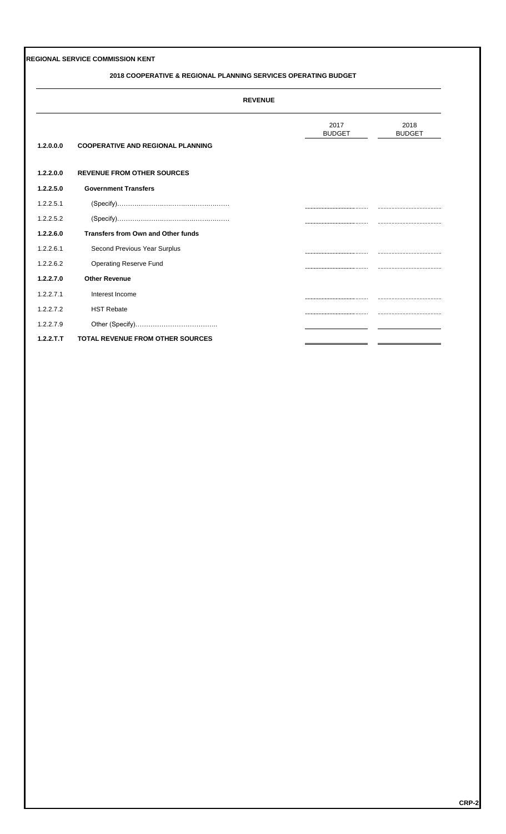#### **2018 COOPERATIVE & REGIONAL PLANNING SERVICES OPERATING BUDGET**

|           |                                           | <b>REVENUE</b>                         |                       |
|-----------|-------------------------------------------|----------------------------------------|-----------------------|
| 1.2.0.0.0 | <b>COOPERATIVE AND REGIONAL PLANNING</b>  | 2017<br><b>BUDGET</b>                  | 2018<br><b>BUDGET</b> |
| 1.2.2.0.0 | <b>REVENUE FROM OTHER SOURCES</b>         |                                        |                       |
| 1.2.2.5.0 | <b>Government Transfers</b>               |                                        |                       |
| 1.2.2.5.1 |                                           |                                        |                       |
| 1.2.2.5.2 |                                           |                                        |                       |
| 1.2.2.6.0 | <b>Transfers from Own and Other funds</b> |                                        |                       |
| 1.2.2.6.1 | Second Previous Year Surplus              |                                        |                       |
| 1.2.2.6.2 | <b>Operating Reserve Fund</b>             | ,,,,,,,,,,,,,,,,,,,,,,,,,,,,,,,,,,,,,, |                       |
| 1.2.2.7.0 | <b>Other Revenue</b>                      |                                        |                       |
| 1.2.2.7.1 | Interest Income                           |                                        |                       |
| 1.2.2.7.2 | <b>HST Rebate</b>                         |                                        |                       |
| 1.2.2.7.9 |                                           |                                        |                       |
| 1.2.2.T.T | <b>TOTAL REVENUE FROM OTHER SOURCES</b>   |                                        |                       |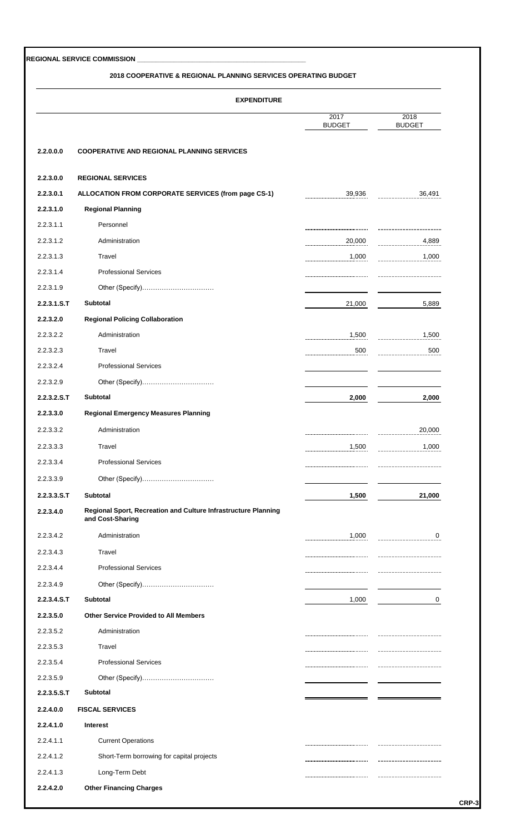#### **2018 COOPERATIVE & REGIONAL PLANNING SERVICES OPERATING BUDGET**

|             | <b>EXPENDITURE</b>                                                                 |                       |                       |
|-------------|------------------------------------------------------------------------------------|-----------------------|-----------------------|
|             |                                                                                    | 2017<br><b>BUDGET</b> | 2018<br><b>BUDGET</b> |
| 2.2.0.0.0   | <b>COOPERATIVE AND REGIONAL PLANNING SERVICES</b>                                  |                       |                       |
| 2.2.3.0.0   | <b>REGIONAL SERVICES</b>                                                           |                       |                       |
| 2.2.3.0.1   | ALLOCATION FROM CORPORATE SERVICES (from page CS-1)                                | 39,936                | 36,491                |
| 2.2.3.1.0   | <b>Regional Planning</b>                                                           |                       |                       |
| 2.2.3.1.1   | Personnel                                                                          |                       |                       |
| 2.2.3.1.2   | Administration                                                                     | 20,000                | 4,889                 |
| 2.2.3.1.3   | Travel                                                                             | 1,000                 | 1,000                 |
| 2.2.3.1.4   | <b>Professional Services</b>                                                       |                       |                       |
| 2.2.3.1.9   | Other (Specify)                                                                    |                       |                       |
| 2.2.3.1.S.T | Subtotal                                                                           | 21,000                | 5,889                 |
| 2.2.3.2.0   | <b>Regional Policing Collaboration</b>                                             |                       |                       |
| 2.2.3.2.2   | Administration                                                                     | 1,500                 | 1,500                 |
| 2.2.3.2.3   | Travel                                                                             | 500                   | 500                   |
| 2.2.3.2.4   | <b>Professional Services</b>                                                       |                       |                       |
| 2.2.3.2.9   | Other (Specify)                                                                    |                       |                       |
| 2.2.3.2.S.T | Subtotal                                                                           | 2,000                 | 2,000                 |
| 2.2.3.3.0   | <b>Regional Emergency Measures Planning</b>                                        |                       |                       |
| 2.2.3.3.2   | Administration                                                                     |                       | 20,000                |
| 2.2.3.3.3   | Travel                                                                             | <br>1,500             | 1,000                 |
| 2.2.3.3.4   | <b>Professional Services</b>                                                       |                       |                       |
|             |                                                                                    |                       |                       |
| 2.2.3.3.9   | Other (Specify)                                                                    |                       |                       |
| 2.2.3.3.5.7 | <b>Subtotal</b>                                                                    | 1,500                 | 21,000                |
| 2.2.3.4.0   | Regional Sport, Recreation and Culture Infrastructure Planning<br>and Cost-Sharing |                       |                       |
| 2.2.3.4.2   | Administration                                                                     | 1,000                 | 0                     |
| 2.2.3.4.3   | Travel                                                                             |                       |                       |
| 2.2.3.4.4   | <b>Professional Services</b>                                                       |                       |                       |
| 2.2.3.4.9   | Other (Specify)                                                                    |                       |                       |
| 2.2.3.4.S.T | Subtotal                                                                           | 1,000                 | 0                     |
| 2.2.3.5.0   | <b>Other Service Provided to All Members</b>                                       |                       |                       |
| 2.2.3.5.2   | Administration                                                                     |                       |                       |
| 2.2.3.5.3   | Travel                                                                             |                       |                       |
| 2.2.3.5.4   | <b>Professional Services</b>                                                       |                       |                       |
| 2.2.3.5.9   | Other (Specify)                                                                    |                       |                       |
| 2.2.3.5.S.T | <b>Subtotal</b>                                                                    |                       |                       |
| 2.2.4.0.0   | <b>FISCAL SERVICES</b>                                                             |                       |                       |
| 2.2.4.1.0   | <b>Interest</b>                                                                    |                       |                       |
| 2.2.4.1.1   | <b>Current Operations</b>                                                          |                       |                       |
| 2.2.4.1.2   | Short-Term borrowing for capital projects                                          |                       |                       |
| 2.2.4.1.3   | Long-Term Debt                                                                     |                       |                       |
|             |                                                                                    |                       |                       |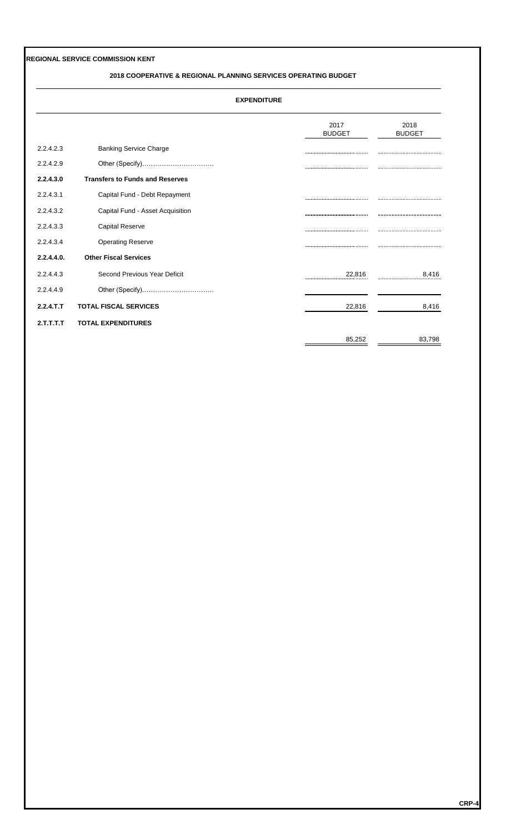#### **2018 COOPERATIVE & REGIONAL PLANNING SERVICES OPERATING BUDGET**

|            |                                        | 2017                             | 2018          |
|------------|----------------------------------------|----------------------------------|---------------|
|            |                                        | <b>BUDGET</b>                    | <b>BUDGET</b> |
| 2.2.4.2.3  | <b>Banking Service Charge</b>          |                                  |               |
| 2.2.4.2.9  | Other (Specify)                        |                                  |               |
| 2.2.4.3.0  | <b>Transfers to Funds and Reserves</b> |                                  |               |
| 2.2.4.3.1  | Capital Fund - Debt Repayment          |                                  |               |
| 2.2.4.3.2  | Capital Fund - Asset Acquisition       |                                  |               |
| 2.2.4.3.3  | <b>Capital Reserve</b>                 |                                  |               |
| 2.2.4.3.4  | <b>Operating Reserve</b>               |                                  |               |
| 2.2.4.4.0. | <b>Other Fiscal Services</b>           |                                  |               |
| 2.2.4.4.3  | Second Previous Year Deficit           | 22,816<br>---------------------- | 8,416         |
| 2.2.4.4.9  | Other (Specify)                        |                                  |               |
| 2.2.4.T.T  | <b>TOTAL FISCAL SERVICES</b>           | 22,816                           | 8,416         |
| 2.T.T.T.T  | <b>TOTAL EXPENDITURES</b>              |                                  |               |
|            |                                        | 85,252                           | 83,798        |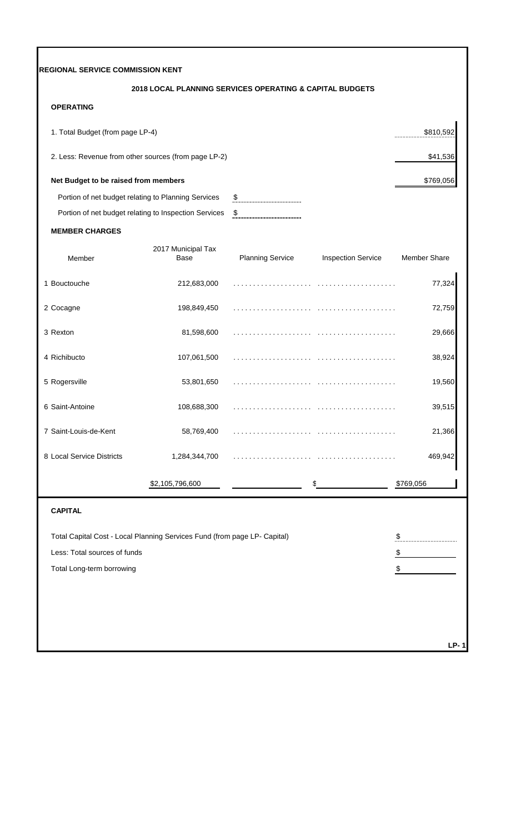|                                      | 2018 LOCAL PLANNING SERVICES OPERATING & CAPITAL BUDGETS                  |                         |                           |                     |
|--------------------------------------|---------------------------------------------------------------------------|-------------------------|---------------------------|---------------------|
| <b>OPERATING</b>                     |                                                                           |                         |                           |                     |
| 1. Total Budget (from page LP-4)     |                                                                           |                         |                           | \$810,592           |
|                                      | 2. Less: Revenue from other sources (from page LP-2)                      |                         |                           | \$41,536            |
| Net Budget to be raised from members |                                                                           |                         |                           | \$769,056           |
|                                      | Portion of net budget relating to Planning Services                       | $\boldsymbol{\theta}$   |                           |                     |
|                                      | Portion of net budget relating to Inspection Services                     | $\pmb{\mathfrak{P}}$    |                           |                     |
| <b>MEMBER CHARGES</b>                |                                                                           |                         |                           |                     |
| Member                               | 2017 Municipal Tax<br>Base                                                | <b>Planning Service</b> | <b>Inspection Service</b> | <b>Member Share</b> |
| 1 Bouctouche                         | 212,683,000                                                               |                         |                           | 77,324              |
| 2 Cocagne                            | 198,849,450                                                               |                         |                           | 72,759              |
| 3 Rexton                             | 81,598,600                                                                |                         |                           | 29,666              |
| 4 Richibucto                         | 107,061,500                                                               |                         |                           | 38,924              |
| 5 Rogersville                        | 53,801,650                                                                | .                       | .                         | 19,560              |
| 6 Saint-Antoine                      | 108,688,300                                                               |                         |                           | 39,515              |
| 7 Saint-Louis-de-Kent                | 58,769,400                                                                |                         |                           | 21,366              |
| 8 Local Service Districts            | 1,284,344,700                                                             |                         |                           | 469,942             |
|                                      | \$2,105,796,600                                                           |                         | \$                        | \$769,056           |
| <b>CAPITAL</b>                       |                                                                           |                         |                           |                     |
|                                      | Total Capital Cost - Local Planning Services Fund (from page LP- Capital) |                         |                           | \$                  |
| Less: Total sources of funds         |                                                                           |                         |                           | \$                  |
| Total Long-term borrowing            |                                                                           |                         |                           | \$                  |
|                                      |                                                                           |                         |                           |                     |
|                                      |                                                                           |                         |                           |                     |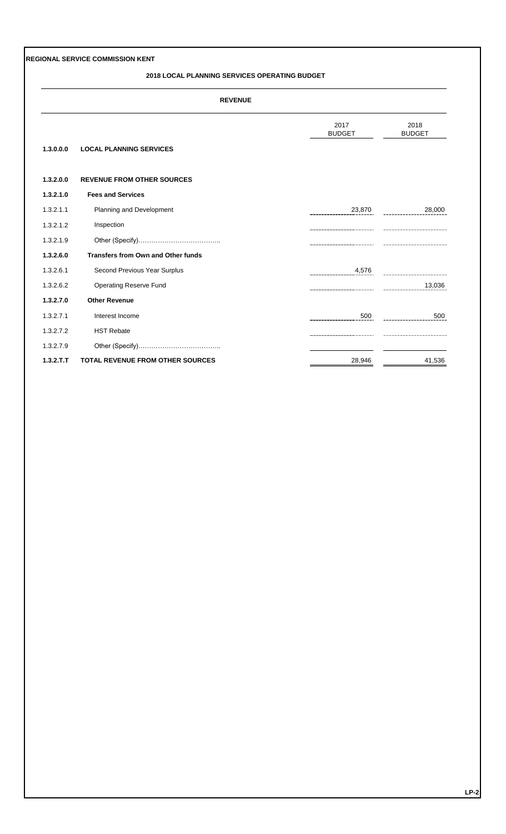#### **2018 LOCAL PLANNING SERVICES OPERATING BUDGET**

|           | <b>REVENUE</b>                            |                                       |                       |  |  |  |
|-----------|-------------------------------------------|---------------------------------------|-----------------------|--|--|--|
| 1.3.0.0.0 | <b>LOCAL PLANNING SERVICES</b>            | 2017<br><b>BUDGET</b>                 | 2018<br><b>BUDGET</b> |  |  |  |
| 1.3.2.0.0 | <b>REVENUE FROM OTHER SOURCES</b>         |                                       |                       |  |  |  |
| 1.3.2.1.0 | <b>Fees and Services</b>                  |                                       |                       |  |  |  |
| 1.3.2.1.1 | Planning and Development                  | 23,870                                | 28,000                |  |  |  |
| 1.3.2.1.2 | Inspection                                |                                       |                       |  |  |  |
| 1.3.2.1.9 |                                           |                                       |                       |  |  |  |
| 1.3.2.6.0 | <b>Transfers from Own and Other funds</b> |                                       |                       |  |  |  |
| 1.3.2.6.1 | Second Previous Year Surplus              | 4,576                                 |                       |  |  |  |
| 1.3.2.6.2 | <b>Operating Reserve Fund</b>             |                                       | 13,036                |  |  |  |
| 1.3.2.7.0 | <b>Other Revenue</b>                      |                                       |                       |  |  |  |
| 1.3.2.7.1 | Interest Income                           | 500<br>                               | 500<br>               |  |  |  |
| 1.3.2.7.2 | <b>HST Rebate</b>                         | ,,,,,,,,,,,,,,,,,,,,,,,,,,,,,,,,,,,,, |                       |  |  |  |
| 1.3.2.7.9 |                                           |                                       |                       |  |  |  |
| 1.3.2.T.T | <b>TOTAL REVENUE FROM OTHER SOURCES</b>   | 28,946                                | 41,536                |  |  |  |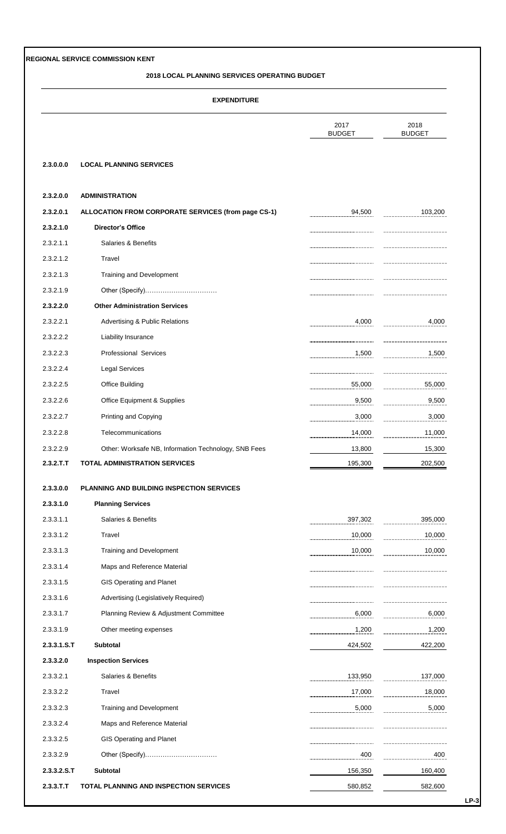#### **2018 LOCAL PLANNING SERVICES OPERATING BUDGET**

|             |                                                      | 2017<br><b>BUDGET</b> | 2018<br><b>BUDGET</b> |
|-------------|------------------------------------------------------|-----------------------|-----------------------|
| 2.3.0.0.0   | <b>LOCAL PLANNING SERVICES</b>                       |                       |                       |
| 2.3.2.0.0   | <b>ADMINISTRATION</b>                                |                       |                       |
| 2.3.2.0.1   | ALLOCATION FROM CORPORATE SERVICES (from page CS-1)  | 94,500                | 103,200               |
| 2.3.2.1.0   | <b>Director's Office</b>                             |                       |                       |
| 2.3.2.1.1   | Salaries & Benefits                                  |                       |                       |
| 2.3.2.1.2   | Travel                                               |                       |                       |
| 2.3.2.1.3   | Training and Development                             |                       |                       |
| 2.3.2.1.9   |                                                      |                       |                       |
| 2.3.2.2.0   | <b>Other Administration Services</b>                 |                       |                       |
| 2.3.2.2.1   | <b>Advertising &amp; Public Relations</b>            | 4,000                 | 4,000                 |
| 2.3.2.2.2   | Liability Insurance                                  |                       |                       |
| 2.3.2.2.3   | <b>Professional Services</b>                         | 1,500                 | 1,500                 |
| 2.3.2.2.4   | Legal Services                                       |                       |                       |
| 2.3.2.2.5   | Office Building                                      | 55,000                | 55,000                |
| 2.3.2.2.6   | Office Equipment & Supplies                          | 9,500                 | 9,500                 |
| 2.3.2.2.7   | Printing and Copying                                 | 3,000                 | 3,000                 |
| 2.3.2.2.8   | Telecommunications                                   | 14,000                | 11,000                |
| 2.3.2.2.9   | Other: Worksafe NB, Information Technology, SNB Fees | 13,800                | 15,300                |
| 2.3.2.T.T   | <b>TOTAL ADMINISTRATION SERVICES</b>                 | 195,300               | 202,500               |
| 2.3.3.0.0   | <b>PLANNING AND BUILDING INSPECTION SERVICES</b>     |                       |                       |
| 2.3.3.1.0   | <b>Planning Services</b>                             |                       |                       |
| 2.3.3.1.1   | Salaries & Benefits                                  | 397,302               | 395,000               |
| 2.3.3.1.2   | Travel                                               | 10,000                | 10,000                |
| 2.3.3.1.3   | Training and Development                             | 10,000                | 10,000                |
| 2.3.3.1.4   | Maps and Reference Material                          |                       |                       |
| 2.3.3.1.5   | <b>GIS Operating and Planet</b>                      |                       |                       |
| 2.3.3.1.6   | Advertising (Legislatively Required)                 |                       |                       |
| 2.3.3.1.7   | Planning Review & Adjustment Committee               | 6,000                 | 6,000                 |
| 2.3.3.1.9   | Other meeting expenses                               | 1,200                 | 1,200                 |
| 2.3.3.1.S.T | Subtotal                                             | 424,502               | 422,200               |
| 2.3.3.2.0   | <b>Inspection Services</b>                           |                       |                       |
| 2.3.3.2.1   | Salaries & Benefits                                  | 133,950               | 137,000               |
| 2.3.3.2.2   | Travel                                               | 17,000                | 18,000                |
| 2.3.3.2.3   | Training and Development                             | 5,000                 | 5,000                 |
| 2.3.3.2.4   | Maps and Reference Material                          |                       |                       |
| 2.3.3.2.5   | GIS Operating and Planet                             |                       |                       |
| 2.3.3.2.9   |                                                      | 400                   | 400                   |
| 2.3.3.2.S.T | <b>Subtotal</b>                                      | 156,350               | 160,400               |
| 2.3.3.T.T   | TOTAL PLANNING AND INSPECTION SERVICES               | 580,852               | 582,600               |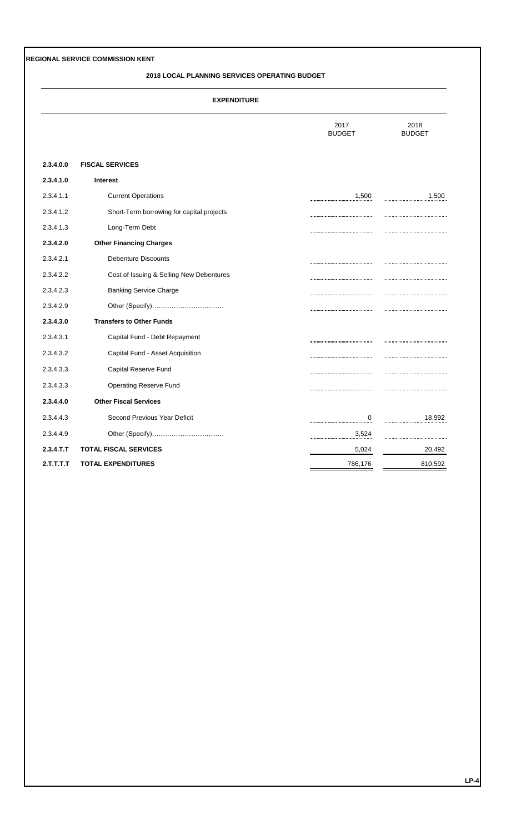#### **2018 LOCAL PLANNING SERVICES OPERATING BUDGET**

|              |                                           | 2017<br><b>BUDGET</b> | 2018<br><b>BUDGET</b> |
|--------------|-------------------------------------------|-----------------------|-----------------------|
| 2.3.4.0.0    | <b>FISCAL SERVICES</b>                    |                       |                       |
| 2.3.4.1.0    | <b>Interest</b>                           |                       |                       |
| 2.3.4.1.1    | <b>Current Operations</b>                 | 1,500                 | 1,500                 |
| 2.3.4.1.2    | Short-Term borrowing for capital projects |                       |                       |
| 2.3.4.1.3    | Long-Term Debt                            |                       |                       |
| 2.3.4.2.0    | <b>Other Financing Charges</b>            |                       |                       |
| 2.3.4.2.1    | <b>Debenture Discounts</b>                |                       |                       |
| 2.3.4.2.2    | Cost of Issuing & Selling New Debentures  |                       |                       |
| 2.3.4.2.3    | <b>Banking Service Charge</b>             |                       |                       |
| 2.3.4.2.9    |                                           |                       |                       |
| 2.3.4.3.0    | <b>Transfers to Other Funds</b>           |                       |                       |
| 2.3.4.3.1    | Capital Fund - Debt Repayment             |                       |                       |
| 2.3.4.3.2    | Capital Fund - Asset Acquisition          |                       |                       |
| 2.3.4.3.3    | Capital Reserve Fund                      |                       |                       |
| 2.3.4.3.3    | <b>Operating Reserve Fund</b>             |                       |                       |
| 2.3.4.4.0    | <b>Other Fiscal Services</b>              |                       |                       |
| 2.3.4.4.3    | Second Previous Year Deficit              | 0                     | 18,992                |
| 2.3.4.4.9    | Other (Specify)                           | 3,524                 |                       |
| $2.3.4.$ T.T | <b>TOTAL FISCAL SERVICES</b>              | 5,024                 | 20,492                |
| 2.T.T.T.T    | <b>TOTAL EXPENDITURES</b>                 | 786,176               | 810,592               |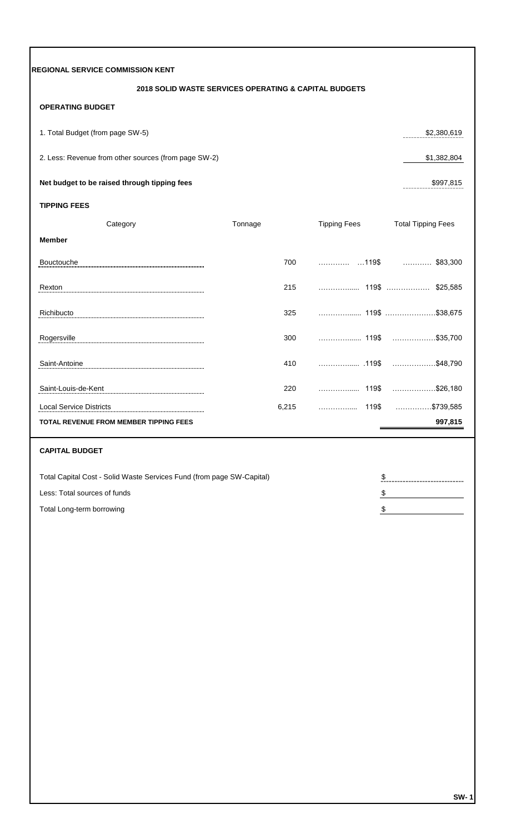| <b>REGIONAL SERVICE COMMISSION KENT</b>                               |         |       |                     |                           |
|-----------------------------------------------------------------------|---------|-------|---------------------|---------------------------|
| 2018 SOLID WASTE SERVICES OPERATING & CAPITAL BUDGETS                 |         |       |                     |                           |
| <b>OPERATING BUDGET</b>                                               |         |       |                     |                           |
| 1. Total Budget (from page SW-5)                                      |         |       |                     | \$2,380,619               |
| 2. Less: Revenue from other sources (from page SW-2)                  |         |       |                     | \$1,382,804               |
| Net budget to be raised through tipping fees                          |         |       |                     | \$997,815                 |
| <b>TIPPING FEES</b>                                                   |         |       |                     |                           |
| Category                                                              | Tonnage |       | <b>Tipping Fees</b> | <b>Total Tipping Fees</b> |
| <b>Member</b>                                                         |         |       |                     |                           |
| Bouctouche                                                            |         | 700   |                     | $\ldots$ \$83,300         |
| Rexton                                                                |         | 215   |                     | \$25,585                  |
| Richibucto                                                            |         | 325   |                     |                           |
| Rogersville                                                           |         | 300   |                     | \$35,700                  |
| Saint-Antoine                                                         |         | 410   |                     | \$48,790                  |
| Saint-Louis-de-Kent                                                   |         | 220   |                     |                           |
| <b>Local Service Districts</b>                                        |         | 6,215 | 119\$<br>.          |                           |
| TOTAL REVENUE FROM MEMBER TIPPING FEES                                |         |       |                     | 997,815                   |
| <b>CAPITAL BUDGET</b>                                                 |         |       |                     |                           |
| Total Capital Cost - Solid Waste Services Fund (from page SW-Capital) |         |       | \$                  |                           |
| Less: Total sources of funds                                          |         |       | \$                  |                           |
| Total Long-term borrowing                                             |         |       | \$                  |                           |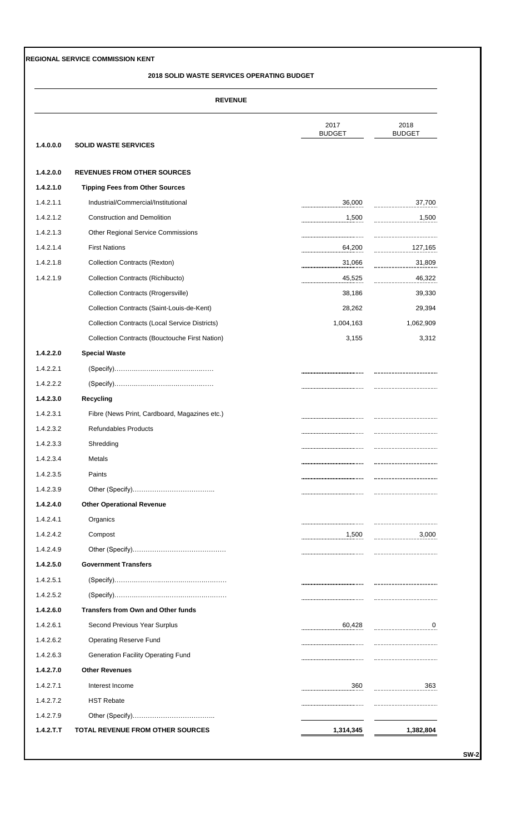#### **2018 SOLID WASTE SERVICES OPERATING BUDGET**

|           |                                                       | 2017<br><b>BUDGET</b> | 2018<br><b>BUDGET</b> |  |
|-----------|-------------------------------------------------------|-----------------------|-----------------------|--|
| 1.4.0.0.0 | <b>SOLID WASTE SERVICES</b>                           |                       |                       |  |
| 1.4.2.0.0 | <b>REVENUES FROM OTHER SOURCES</b>                    |                       |                       |  |
| 1.4.2.1.0 | <b>Tipping Fees from Other Sources</b>                |                       |                       |  |
| 1.4.2.1.1 | Industrial/Commercial/Institutional                   | 36,000                | 37,700                |  |
| 1.4.2.1.2 | <b>Construction and Demolition</b>                    | 1,500                 | 1,500                 |  |
| 1.4.2.1.3 | <b>Other Regional Service Commissions</b>             |                       |                       |  |
| 1.4.2.1.4 | <b>First Nations</b>                                  | 64,200                | 127,165               |  |
| 1.4.2.1.8 | <b>Collection Contracts (Rexton)</b>                  | 31,066                | 31,809                |  |
| 1.4.2.1.9 | Collection Contracts (Richibucto)                     | 45,525                | 46,322                |  |
|           | <b>Collection Contracts (Rrogersville)</b>            | 38,186                | 39,330                |  |
|           | Collection Contracts (Saint-Louis-de-Kent)            | 28,262                | 29,394                |  |
|           | <b>Collection Contracts (Local Service Districts)</b> | 1,004,163             | 1,062,909             |  |
|           | Collection Contracts (Bouctouche First Nation)        | 3,155                 | 3,312                 |  |
| 1.4.2.2.0 | <b>Special Waste</b>                                  |                       |                       |  |
| 1.4.2.2.1 |                                                       |                       |                       |  |
| 1.4.2.2.2 |                                                       |                       |                       |  |
| 1.4.2.3.0 | <b>Recycling</b>                                      |                       |                       |  |
| 1.4.2.3.1 | Fibre (News Print, Cardboard, Magazines etc.)         |                       |                       |  |
| 1.4.2.3.2 | <b>Refundables Products</b>                           |                       |                       |  |
| 1.4.2.3.3 | Shredding                                             |                       |                       |  |
| 1.4.2.3.4 | Metals                                                |                       |                       |  |
| 1.4.2.3.5 | Paints                                                |                       |                       |  |
| 1.4.2.3.9 |                                                       |                       |                       |  |
| 1.4.2.4.0 | <b>Other Operational Revenue</b>                      |                       |                       |  |
| 1.4.2.4.1 | Organics                                              |                       |                       |  |
| 1.4.2.4.2 | Compost                                               | 1,500                 | 3,000                 |  |
| 1.4.2.4.9 |                                                       |                       |                       |  |
| 1.4.2.5.0 | <b>Government Transfers</b>                           |                       |                       |  |
| 1.4.2.5.1 |                                                       |                       |                       |  |
| 1.4.2.5.2 |                                                       |                       |                       |  |
| 1.4.2.6.0 | <b>Transfers from Own and Other funds</b>             |                       |                       |  |
| 1.4.2.6.1 | Second Previous Year Surplus                          | 60,428                | 0                     |  |
| 1.4.2.6.2 | <b>Operating Reserve Fund</b>                         |                       |                       |  |
| 1.4.2.6.3 | <b>Generation Facility Operating Fund</b>             |                       |                       |  |
| 1.4.2.7.0 | <b>Other Revenues</b>                                 |                       |                       |  |
| 1.4.2.7.1 | Interest Income                                       | 360                   | 363                   |  |
| 1.4.2.7.2 | <b>HST Rebate</b>                                     |                       |                       |  |
| 1.4.2.7.9 |                                                       |                       |                       |  |
| 1.4.2.T.T | <b>TOTAL REVENUE FROM OTHER SOURCES</b>               | 1,314,345             | 1,382,804             |  |

**SW-2**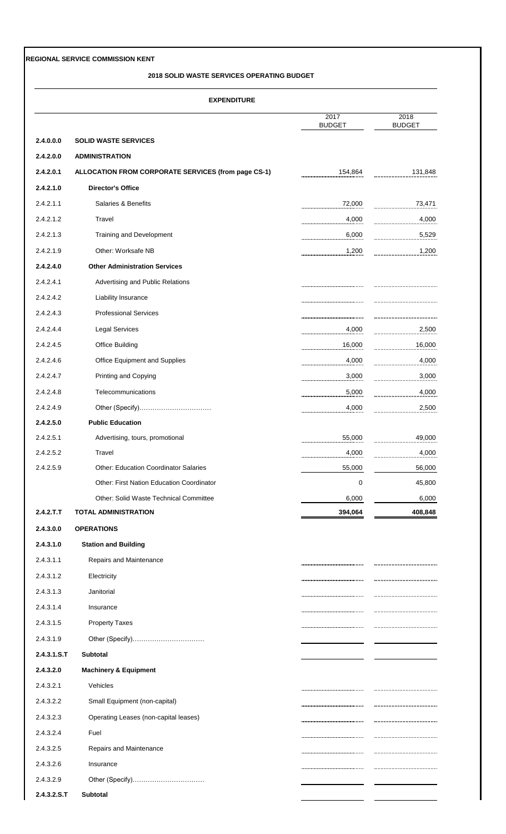#### **2018 SOLID WASTE SERVICES OPERATING BUDGET**

| <b>EXPENDITURE</b> |                                                     |                       |                       |  |
|--------------------|-----------------------------------------------------|-----------------------|-----------------------|--|
|                    |                                                     | 2017<br><b>BUDGET</b> | 2018<br><b>BUDGET</b> |  |
| 2.4.0.0.0          | <b>SOLID WASTE SERVICES</b>                         |                       |                       |  |
| 2.4.2.0.0          | <b>ADMINISTRATION</b>                               |                       |                       |  |
| 2.4.2.0.1          | ALLOCATION FROM CORPORATE SERVICES (from page CS-1) | 154,864               | 131,848               |  |
| 2.4.2.1.0          | <b>Director's Office</b>                            |                       |                       |  |
| 2.4.2.1.1          | Salaries & Benefits                                 | 72,000                | 73,471                |  |
| 2.4.2.1.2          | Travel                                              | 4,000                 | 4,000                 |  |
| 2.4.2.1.3          | Training and Development                            | 6,000                 | 5,529                 |  |
| 2.4.2.1.9          | Other: Worksafe NB                                  | 1,200                 | 1,200                 |  |
| 2.4.2.4.0          | <b>Other Administration Services</b>                |                       |                       |  |
| 2.4.2.4.1          | Advertising and Public Relations                    |                       |                       |  |
| 2.4.2.4.2          | Liability Insurance                                 |                       |                       |  |
| 2.4.2.4.3          | <b>Professional Services</b>                        |                       |                       |  |
| 2.4.2.4.4          | <b>Legal Services</b>                               | 4,000                 | 2,500                 |  |
| 2.4.2.4.5          | <b>Office Building</b>                              | 16,000                | 16,000                |  |
| 2.4.2.4.6          | Office Equipment and Supplies                       | 4,000                 | 4,000                 |  |
| 2.4.2.4.7          | Printing and Copying                                | 3,000                 | 3,000                 |  |
| 2.4.2.4.8          | Telecommunications                                  | 5,000                 | 4,000                 |  |
| 2.4.2.4.9          |                                                     | 4,000                 | 2,500                 |  |
| 2.4.2.5.0          | <b>Public Education</b>                             |                       |                       |  |
| 2.4.2.5.1          | Advertising, tours, promotional                     | 55,000                | 49,000                |  |
| 2.4.2.5.2          | Travel                                              | 4,000                 | 4,000                 |  |
| 2.4.2.5.9          | <b>Other: Education Coordinator Salaries</b>        | <br>55,000            | 56,000                |  |
|                    | <b>Other: First Nation Education Coordinator</b>    | 0                     | 45,800                |  |
|                    | Other: Solid Waste Technical Committee              | 6,000                 | 6,000                 |  |
| 2.4.2.T.T          | <b>TOTAL ADMINISTRATION</b>                         | 394,064               | 408,848               |  |
| 2.4.3.0.0          | <b>OPERATIONS</b>                                   |                       |                       |  |
| 2.4.3.1.0          | <b>Station and Building</b>                         |                       |                       |  |
| 2.4.3.1.1          | Repairs and Maintenance                             |                       |                       |  |
| 2.4.3.1.2          | Electricity                                         |                       |                       |  |
| 2.4.3.1.3          | Janitorial                                          |                       |                       |  |
| 2.4.3.1.4          | Insurance                                           |                       |                       |  |
| 2.4.3.1.5          | <b>Property Taxes</b>                               |                       |                       |  |
| 2.4.3.1.9          |                                                     |                       |                       |  |
| 2.4.3.1.S.T        | <b>Subtotal</b>                                     |                       |                       |  |
| 2.4.3.2.0          | <b>Machinery &amp; Equipment</b>                    |                       |                       |  |
| 2.4.3.2.1          | Vehicles                                            |                       |                       |  |
| 2.4.3.2.2          | Small Equipment (non-capital)                       |                       |                       |  |
| 2.4.3.2.3          | Operating Leases (non-capital leases)               |                       |                       |  |
| 2.4.3.2.4          | Fuel                                                |                       |                       |  |
| 2.4.3.2.5          | Repairs and Maintenance                             |                       |                       |  |
| 2.4.3.2.6          | Insurance                                           |                       |                       |  |
| 2.4.3.2.9          |                                                     |                       |                       |  |
| 2.4.3.2.S.T        | Subtotal                                            |                       |                       |  |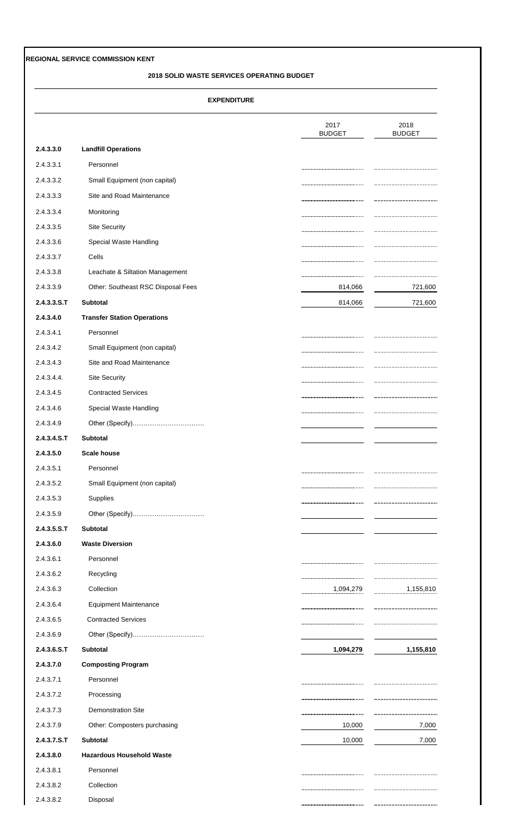#### **2018 SOLID WASTE SERVICES OPERATING BUDGET**

|                |                                    | 2017<br><b>BUDGET</b> | 2018<br><b>BUDGET</b> |
|----------------|------------------------------------|-----------------------|-----------------------|
| 2.4.3.3.0      | <b>Landfill Operations</b>         |                       |                       |
| 2.4.3.3.1      | Personnel                          |                       |                       |
| 2.4.3.3.2      | Small Equipment (non capital)      |                       |                       |
| 2.4.3.3.3      | Site and Road Maintenance          |                       |                       |
| 2.4.3.3.4      | Monitoring                         |                       |                       |
| 2.4.3.3.5      | <b>Site Security</b>               |                       |                       |
| 2.4.3.3.6      | Special Waste Handling             |                       |                       |
| 2.4.3.3.7      | Cells                              |                       |                       |
| 2.4.3.3.8      | Leachate & Siltation Management    |                       |                       |
| 2.4.3.3.9      | Other: Southeast RSC Disposal Fees | 814,066               | 721,600               |
| $2.4.3.3.5.$ T | <b>Subtotal</b>                    | 814,066               | 721,600               |
| 2.4.3.4.0      | <b>Transfer Station Operations</b> |                       |                       |
| 2.4.3.4.1      | Personnel                          |                       |                       |
| 2.4.3.4.2      | Small Equipment (non capital)      |                       |                       |
| 2.4.3.4.3      | Site and Road Maintenance          |                       |                       |
| 2.4.3.4.4.     | <b>Site Security</b>               |                       |                       |
| 2.4.3.4.5      | <b>Contracted Services</b>         |                       |                       |
| 2.4.3.4.6      | Special Waste Handling             |                       |                       |
| 2.4.3.4.9      | Other (Specify)                    |                       |                       |
| 2.4.3.4.S.T    | Subtotal                           |                       |                       |
| 2.4.3.5.0      | <b>Scale house</b>                 |                       |                       |
| 2.4.3.5.1      | Personnel                          |                       |                       |
| 2.4.3.5.2      | Small Equipment (non capital)      |                       |                       |
| 2.4.3.5.3      | Supplies                           |                       |                       |
| 2.4.3.5.9      | Other (Specify)                    |                       |                       |
| 2.4.3.5.S.T    | Subtotal                           |                       |                       |
| 2.4.3.6.0      | <b>Waste Diversion</b>             |                       |                       |
| 2.4.3.6.1      | Personnel                          |                       |                       |
| 2.4.3.6.2      | Recycling                          |                       |                       |
| 2.4.3.6.3      | Collection                         | 1,094,279             | 1,155,810             |
| 2.4.3.6.4      | <b>Equipment Maintenance</b>       |                       |                       |
| 2.4.3.6.5      | <b>Contracted Services</b>         |                       |                       |
| 2.4.3.6.9      | Other (Specify)                    |                       |                       |
| 2.4.3.6. S.T   | Subtotal                           | 1,094,279             | 1,155,810             |
| 2.4.3.7.0      | <b>Composting Program</b>          |                       |                       |
| 2.4.3.7.1      | Personnel                          |                       |                       |
| 2.4.3.7.2      | Processing                         |                       |                       |
| 2.4.3.7.3      | <b>Demonstration Site</b>          |                       |                       |
| 2.4.3.7.9      | Other: Composters purchasing       | 10,000                | 7,000                 |
| 2.4.3.7.S.T    | Subtotal                           | 10,000                | 7,000                 |
| 2.4.3.8.0      | <b>Hazardous Household Waste</b>   |                       |                       |
| 2.4.3.8.1      | Personnel                          |                       |                       |
| 2.4.3.8.2      | Collection                         |                       |                       |
| 2.4.3.8.2      | Disposal                           |                       |                       |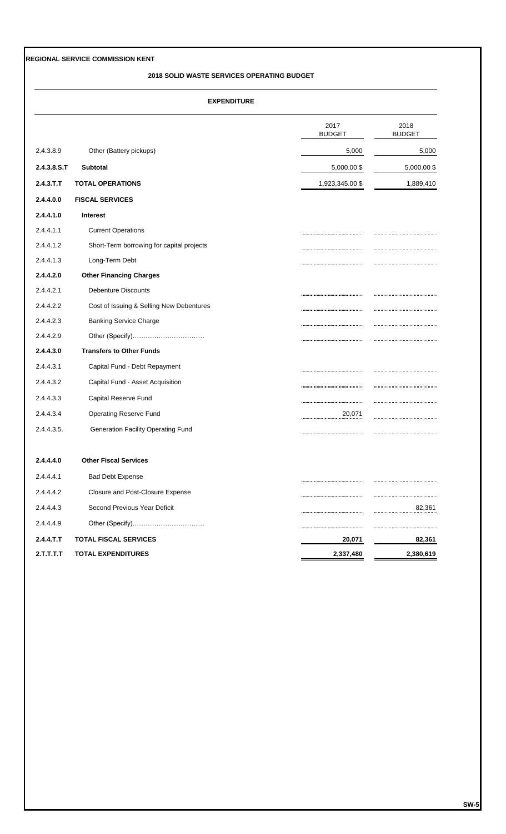#### **2018 SOLID WASTE SERVICES OPERATING BUDGET**

|             |                                           | 2017<br><b>BUDGET</b> | 2018<br><b>BUDGET</b> |
|-------------|-------------------------------------------|-----------------------|-----------------------|
| 2.4.3.8.9   | Other (Battery pickups)                   | 5,000                 | 5,000                 |
| 2.4.3.8.S.T | <b>Subtotal</b>                           | 5,000.00 \$           | 5,000.00 \$           |
| 2.4.3.T.T   | <b>TOTAL OPERATIONS</b>                   | 1,923,345.00 \$       | 1,889,410             |
| 2.4.4.0.0   | <b>FISCAL SERVICES</b>                    |                       |                       |
| 2.4.4.1.0   | <b>Interest</b>                           |                       |                       |
| 2.4.4.1.1   | <b>Current Operations</b>                 |                       |                       |
| 2.4.4.1.2   | Short-Term borrowing for capital projects |                       |                       |
| 2.4.4.1.3   | Long-Term Debt                            |                       |                       |
| 2.4.4.2.0   | <b>Other Financing Charges</b>            |                       |                       |
| 2.4.4.2.1   | <b>Debenture Discounts</b>                |                       |                       |
| 2.4.4.2.2   | Cost of Issuing & Selling New Debentures  |                       |                       |
| 2.4.4.2.3   | <b>Banking Service Charge</b>             |                       |                       |
| 2.4.4.2.9   |                                           |                       |                       |
| 2.4.4.3.0   | <b>Transfers to Other Funds</b>           |                       |                       |
| 2.4.4.3.1   | Capital Fund - Debt Repayment             |                       |                       |
| 2.4.4.3.2   | Capital Fund - Asset Acquisition          |                       |                       |
| 2.4.4.3.3   | Capital Reserve Fund                      |                       |                       |
| 2.4.4.3.4   | <b>Operating Reserve Fund</b>             | 20,071                |                       |
| 2.4.4.3.5.  | <b>Generation Facility Operating Fund</b> |                       |                       |
| 2.4.4.4.0   | <b>Other Fiscal Services</b>              |                       |                       |
| 2.4.4.4.1   | <b>Bad Debt Expense</b>                   |                       |                       |
| 2.4.4.4.2   | Closure and Post-Closure Expense          |                       |                       |
| 2.4.4.4.3   | Second Previous Year Deficit              |                       | 82,361                |
| 2.4.4.4.9   | Other (Specify)                           |                       |                       |
| 2.4.4.T.T   | <b>TOTAL FISCAL SERVICES</b>              | 20,071                | 82,361                |
| 2.T.T.T.T.T | <b>TOTAL EXPENDITURES</b>                 | 2,337,480             | 2,380,619             |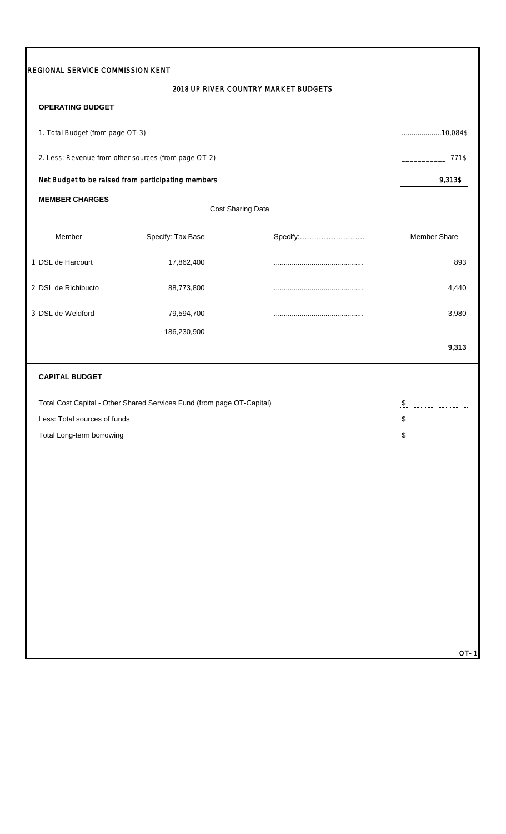| REGIONAL SERVICE COMMISSION KENT |                                                                        |                                      |                      |
|----------------------------------|------------------------------------------------------------------------|--------------------------------------|----------------------|
|                                  |                                                                        | 2018 UP RIVER COUNTRY MARKET BUDGETS |                      |
| <b>OPERATING BUDGET</b>          |                                                                        |                                      |                      |
| 1. Total Budget (from page OT-3) |                                                                        |                                      | $10,084$ \$          |
|                                  | 2. Less: Revenue from other sources (from page OT-2)                   |                                      | 771\$                |
|                                  | Net Budget to be raised from participating members                     |                                      | 9,313\$              |
| <b>MEMBER CHARGES</b>            |                                                                        | Cost Sharing Data                    |                      |
| Member                           | Specify: Tax Base                                                      | Specify:                             | <b>Member Share</b>  |
| 1 DSL de Harcourt                | 17,862,400                                                             |                                      | 893                  |
| 2 DSL de Richibucto              | 88,773,800                                                             |                                      | 4,440                |
| 3 DSL de Weldford                | 79,594,700                                                             |                                      | 3,980                |
|                                  | 186,230,900                                                            |                                      |                      |
|                                  |                                                                        |                                      | 9,313                |
| <b>CAPITAL BUDGET</b>            |                                                                        |                                      |                      |
|                                  | Total Cost Capital - Other Shared Services Fund (from page OT-Capital) |                                      | $\pmb{\mathfrak{P}}$ |
| Less: Total sources of funds     |                                                                        |                                      | \$                   |
| Total Long-term borrowing        |                                                                        |                                      | \$                   |
|                                  |                                                                        |                                      |                      |
|                                  |                                                                        |                                      |                      |
|                                  |                                                                        |                                      |                      |
|                                  |                                                                        |                                      |                      |
|                                  |                                                                        |                                      |                      |
|                                  |                                                                        |                                      |                      |
|                                  |                                                                        |                                      |                      |
|                                  |                                                                        |                                      |                      |
|                                  |                                                                        |                                      |                      |
|                                  |                                                                        |                                      |                      |
|                                  |                                                                        |                                      | <b>OT-1</b>          |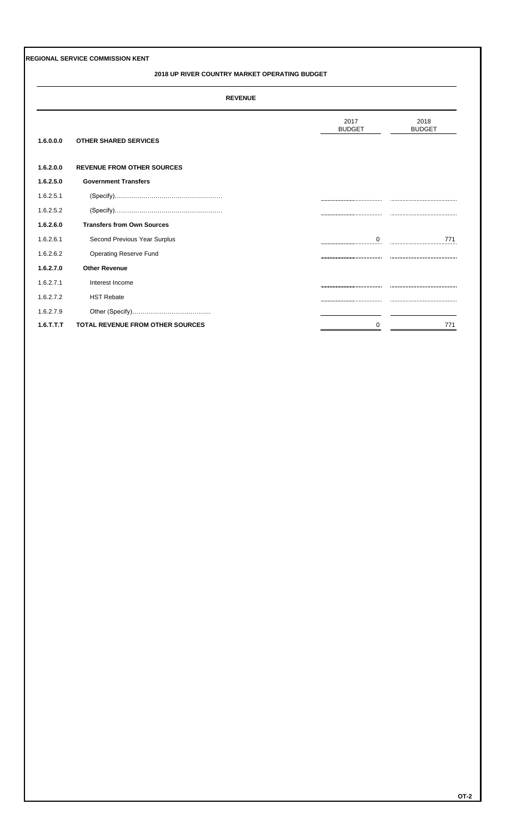## **2018 UP RIVER COUNTRY MARKET OPERATING BUDGET**

| cvc. | FVFNI | н |
|------|-------|---|
|      |       | × |

|              |                                         | 2017<br><b>BUDGET</b> | 2018<br><b>BUDGET</b>                        |
|--------------|-----------------------------------------|-----------------------|----------------------------------------------|
| 1.6.0.0.0    | <b>OTHER SHARED SERVICES</b>            |                       |                                              |
| 1.6.2.0.0    | <b>REVENUE FROM OTHER SOURCES</b>       |                       |                                              |
| 1.6.2.5.0    | <b>Government Transfers</b>             |                       |                                              |
| 1.6.2.5.1    |                                         |                       |                                              |
| 1.6.2.5.2    |                                         |                       |                                              |
| 1.6.2.6.0    | <b>Transfers from Own Sources</b>       |                       |                                              |
| 1.6.2.6.1    | Second Previous Year Surplus            | 0<br>                 | 771<br>,,,,,,,,,,,,,,,,,,,,,,,,,,,,,,,,,,,,, |
| 1.6.2.6.2    | <b>Operating Reserve Fund</b>           |                       |                                              |
| 1.6.2.7.0    | <b>Other Revenue</b>                    |                       |                                              |
| 1.6.2.7.1    | Interest Income                         |                       |                                              |
| 1.6.2.7.2    | <b>HST Rebate</b>                       |                       |                                              |
| 1.6.2.7.9    |                                         |                       |                                              |
| $1.6$ .T.T.T | <b>TOTAL REVENUE FROM OTHER SOURCES</b> | 0                     | 771                                          |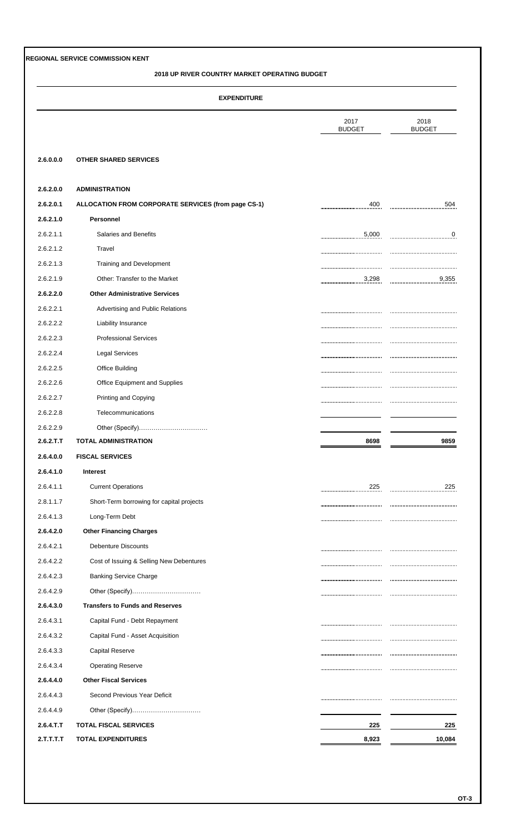## **2018 UP RIVER COUNTRY MARKET OPERATING BUDGET**

|  | <b>EXPENDITURE</b> |  |
|--|--------------------|--|
|  |                    |  |

|           |                                                     | 2017<br><b>BUDGET</b> | 2018<br><b>BUDGET</b> |
|-----------|-----------------------------------------------------|-----------------------|-----------------------|
| 2.6.0.0.0 | <b>OTHER SHARED SERVICES</b>                        |                       |                       |
| 2.6.2.0.0 | <b>ADMINISTRATION</b>                               |                       |                       |
| 2.6.2.0.1 | ALLOCATION FROM CORPORATE SERVICES (from page CS-1) | 400                   | 504                   |
| 2.6.2.1.0 | Personnel                                           |                       |                       |
| 2.6.2.1.1 | Salaries and Benefits                               | 5,000                 | $\overline{0}$        |
| 2.6.2.1.2 | Travel                                              |                       |                       |
| 2.6.2.1.3 | Training and Development                            |                       |                       |
| 2.6.2.1.9 | Other: Transfer to the Market                       | 3,298                 | 9,355                 |
| 2.6.2.2.0 | <b>Other Administrative Services</b>                |                       |                       |
| 2.6.2.2.1 | Advertising and Public Relations                    |                       |                       |
| 2.6.2.2.2 | Liability Insurance                                 |                       |                       |
| 2.6.2.2.3 | <b>Professional Services</b>                        |                       |                       |
| 2.6.2.2.4 | <b>Legal Services</b>                               |                       |                       |
| 2.6.2.2.5 | Office Building                                     |                       |                       |
| 2.6.2.2.6 | Office Equipment and Supplies                       |                       |                       |
| 2.6.2.2.7 | Printing and Copying                                |                       |                       |
| 2.6.2.2.8 | Telecommunications                                  |                       |                       |
| 2.6.2.2.9 | Other (Specify)                                     |                       |                       |
| 2.6.2.T.T | <b>TOTAL ADMINISTRATION</b>                         | 8698                  | 9859                  |
| 2.6.4.0.0 | <b>FISCAL SERVICES</b>                              |                       |                       |
| 2.6.4.1.0 | Interest                                            |                       |                       |
| 2.6.4.1.1 | <b>Current Operations</b>                           | 225                   | 225                   |
| 2.8.1.1.7 | Short-Term borrowing for capital projects           |                       |                       |
| 2.6.4.1.3 | Long-Term Debt                                      |                       |                       |
|           |                                                     |                       |                       |
| 2.6.4.2.0 | <b>Other Financing Charges</b>                      |                       |                       |
| 2.6.4.2.1 | <b>Debenture Discounts</b>                          |                       |                       |
| 2.6.4.2.2 | Cost of Issuing & Selling New Debentures            |                       |                       |
| 2.6.4.2.3 | <b>Banking Service Charge</b>                       |                       |                       |
| 2.6.4.2.9 |                                                     |                       |                       |
| 2.6.4.3.0 | <b>Transfers to Funds and Reserves</b>              |                       |                       |
| 2.6.4.3.1 | Capital Fund - Debt Repayment                       |                       |                       |
| 2.6.4.3.2 | Capital Fund - Asset Acquisition                    |                       |                       |
| 2.6.4.3.3 | <b>Capital Reserve</b>                              |                       |                       |
| 2.6.4.3.4 | <b>Operating Reserve</b>                            |                       | <br><br>              |
| 2.6.4.4.0 | <b>Other Fiscal Services</b>                        |                       |                       |
| 2.6.4.4.3 | Second Previous Year Deficit                        |                       |                       |
| 2.6.4.4.9 |                                                     |                       |                       |
| 2.6.4.T.T | <b>TOTAL FISCAL SERVICES</b>                        | 225                   | 225                   |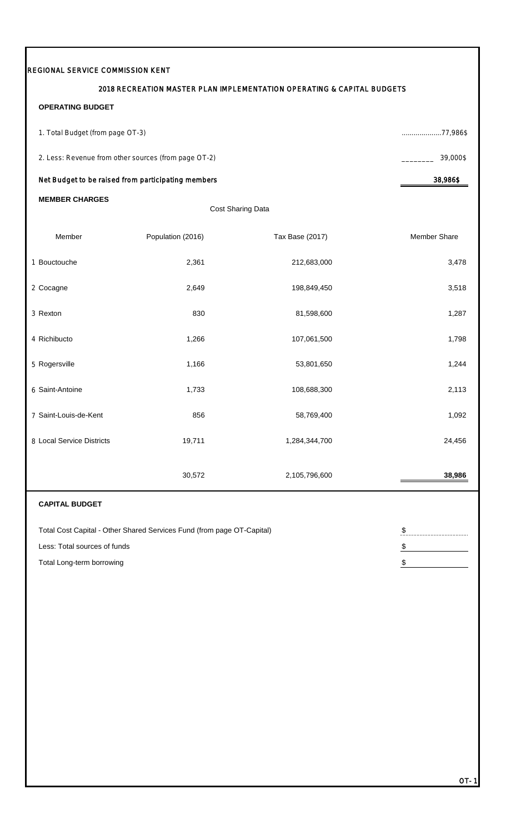|                                  |                                                                        | 2018 RECREATION MASTER PLAN IMPLEMENTATION OPERATING & CAPITAL BUDGETS |                       |  |
|----------------------------------|------------------------------------------------------------------------|------------------------------------------------------------------------|-----------------------|--|
| <b>OPERATING BUDGET</b>          |                                                                        |                                                                        |                       |  |
| 1. Total Budget (from page OT-3) |                                                                        |                                                                        | 77,986\$              |  |
|                                  | 2. Less: Revenue from other sources (from page OT-2)                   |                                                                        |                       |  |
|                                  | Net Budget to be raised from participating members                     |                                                                        | 38,986\$              |  |
| <b>MEMBER CHARGES</b>            |                                                                        | Cost Sharing Data                                                      |                       |  |
|                                  |                                                                        |                                                                        |                       |  |
| Member                           | Population (2016)                                                      | Tax Base (2017)                                                        | Member Share          |  |
| 1 Bouctouche                     | 2,361                                                                  | 212,683,000                                                            | 3,478                 |  |
| 2 Cocagne                        | 2,649                                                                  | 198,849,450                                                            | 3,518                 |  |
| 3 Rexton                         | 830                                                                    | 81,598,600                                                             | 1,287                 |  |
| 4 Richibucto                     | 1,266                                                                  | 107,061,500                                                            | 1,798                 |  |
| 5 Rogersville                    | 1,166                                                                  | 53,801,650                                                             | 1,244                 |  |
| 6 Saint-Antoine                  | 1,733                                                                  | 108,688,300                                                            | 2,113                 |  |
| 7 Saint-Louis-de-Kent            | 856                                                                    | 58,769,400                                                             | 1,092                 |  |
| 8 Local Service Districts        | 19,711                                                                 | 1,284,344,700                                                          | 24,456                |  |
|                                  | 30,572                                                                 | 2,105,796,600                                                          | 38,986                |  |
| <b>CAPITAL BUDGET</b>            |                                                                        |                                                                        |                       |  |
|                                  | Total Cost Capital - Other Shared Services Fund (from page OT-Capital) |                                                                        | $\boldsymbol{\theta}$ |  |
| Less: Total sources of funds     |                                                                        |                                                                        | $\frac{1}{2}$         |  |
| Total Long-term borrowing        |                                                                        |                                                                        |                       |  |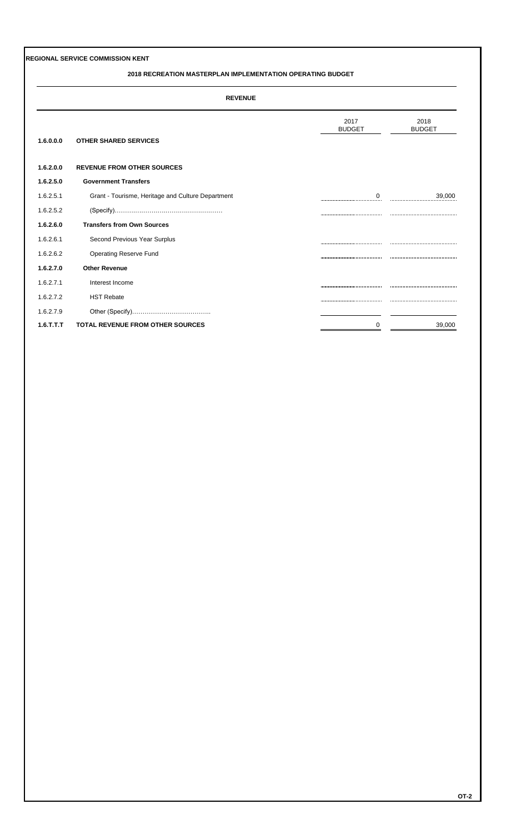#### **2018 RECREATION MASTERPLAN IMPLEMENTATION OPERATING BUDGET**

| ۸ľ<br>٠<br>↽<br>. .<br>−<br>ъ |  |
|-------------------------------|--|
|                               |  |

|              |                                                   | 2017<br><b>BUDGET</b> | 2018<br><b>BUDGET</b> |
|--------------|---------------------------------------------------|-----------------------|-----------------------|
| 1.6.0.0.0    | <b>OTHER SHARED SERVICES</b>                      |                       |                       |
|              |                                                   |                       |                       |
| 1.6.2.0.0    | <b>REVENUE FROM OTHER SOURCES</b>                 |                       |                       |
| 1.6.2.5.0    | <b>Government Transfers</b>                       |                       |                       |
| 1.6.2.5.1    | Grant - Tourisme, Heritage and Culture Department | $\Omega$<br>          | 39,000                |
| 1.6.2.5.2    |                                                   |                       |                       |
| 1.6.2.6.0    | <b>Transfers from Own Sources</b>                 |                       |                       |
| 1.6.2.6.1    | Second Previous Year Surplus                      |                       |                       |
| 1.6.2.6.2    | Operating Reserve Fund                            |                       |                       |
| 1.6.2.7.0    | <b>Other Revenue</b>                              |                       |                       |
| 1.6.2.7.1    | Interest Income                                   |                       |                       |
| 1.6.2.7.2    | <b>HST Rebate</b>                                 |                       |                       |
| 1.6.2.7.9    |                                                   |                       |                       |
| $1.6$ .T.T.T | <b>TOTAL REVENUE FROM OTHER SOURCES</b>           | 0                     | 39,000                |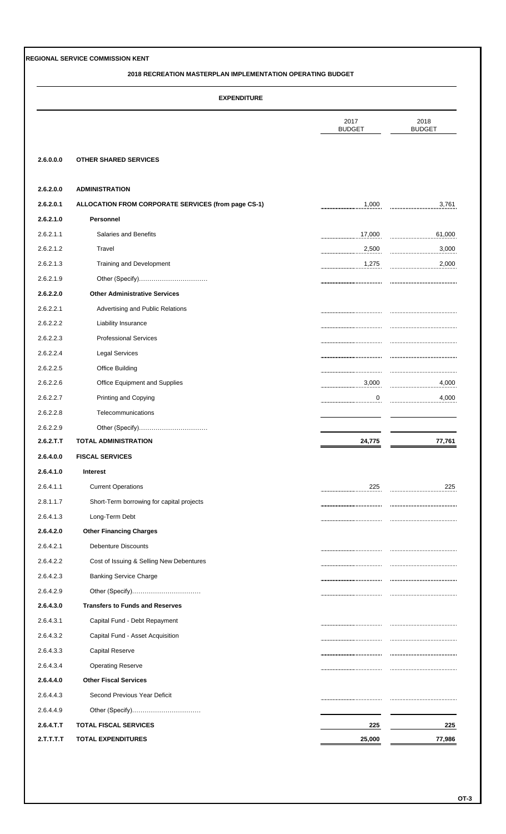#### **2018 RECREATION MASTERPLAN IMPLEMENTATION OPERATING BUDGET**

| <b>EXPENDITURE</b> |  |
|--------------------|--|
|                    |  |

|           |                                                     | 2017<br><b>BUDGET</b> | 2018<br><b>BUDGET</b> |
|-----------|-----------------------------------------------------|-----------------------|-----------------------|
| 2.6.0.0.0 | <b>OTHER SHARED SERVICES</b>                        |                       |                       |
| 2.6.2.0.0 | <b>ADMINISTRATION</b>                               |                       |                       |
| 2.6.2.0.1 | ALLOCATION FROM CORPORATE SERVICES (from page CS-1) | 1,000                 | 3,761                 |
| 2.6.2.1.0 | Personnel                                           |                       |                       |
| 2.6.2.1.1 | Salaries and Benefits                               | 17,000                | 61,000                |
| 2.6.2.1.2 | Travel                                              | 2,500                 | 3,000                 |
| 2.6.2.1.3 | Training and Development                            | 1,275                 | 2,000                 |
| 2.6.2.1.9 | Other (Specify)                                     |                       |                       |
| 2.6.2.2.0 | <b>Other Administrative Services</b>                |                       |                       |
| 2.6.2.2.1 | Advertising and Public Relations                    |                       |                       |
| 2.6.2.2.2 | Liability Insurance                                 |                       |                       |
| 2.6.2.2.3 | <b>Professional Services</b>                        |                       |                       |
| 2.6.2.2.4 | <b>Legal Services</b>                               |                       |                       |
| 2.6.2.2.5 | <b>Office Building</b>                              |                       |                       |
| 2.6.2.2.6 | Office Equipment and Supplies                       | 3,000                 | 4,000                 |
| 2.6.2.2.7 | Printing and Copying                                | 0                     | 4,000                 |
| 2.6.2.2.8 | Telecommunications                                  |                       |                       |
| 2.6.2.2.9 | Other (Specify)                                     |                       |                       |
| 2.6.2.T.T | <b>TOTAL ADMINISTRATION</b>                         | 24,775                | 77,761                |
| 2.6.4.0.0 | <b>FISCAL SERVICES</b>                              |                       |                       |
| 2.6.4.1.0 | Interest                                            |                       |                       |
| 2.6.4.1.1 | <b>Current Operations</b>                           | 225                   | 225                   |
| 2.8.1.1.7 | Short-Term borrowing for capital projects           |                       |                       |
| 2.6.4.1.3 | Long-Term Debt                                      |                       |                       |
| 2.6.4.2.0 | <b>Other Financing Charges</b>                      |                       |                       |
| 2.6.4.2.1 | <b>Debenture Discounts</b>                          |                       |                       |
| 2.6.4.2.2 | Cost of Issuing & Selling New Debentures            |                       |                       |
| 2.6.4.2.3 | <b>Banking Service Charge</b>                       |                       |                       |
| 2.6.4.2.9 |                                                     |                       |                       |
| 2.6.4.3.0 | <b>Transfers to Funds and Reserves</b>              |                       |                       |
| 2.6.4.3.1 | Capital Fund - Debt Repayment                       |                       |                       |
| 2.6.4.3.2 | Capital Fund - Asset Acquisition                    |                       |                       |
| 2.6.4.3.3 | <b>Capital Reserve</b>                              |                       |                       |
| 2.6.4.3.4 | <b>Operating Reserve</b>                            |                       |                       |
| 2.6.4.4.0 | <b>Other Fiscal Services</b>                        |                       |                       |
| 2.6.4.4.3 | Second Previous Year Deficit                        |                       |                       |
| 2.6.4.4.9 | Other (Specify)                                     |                       |                       |
|           |                                                     |                       |                       |
| 2.6.4.T.T | <b>TOTAL FISCAL SERVICES</b>                        | 225                   | 225                   |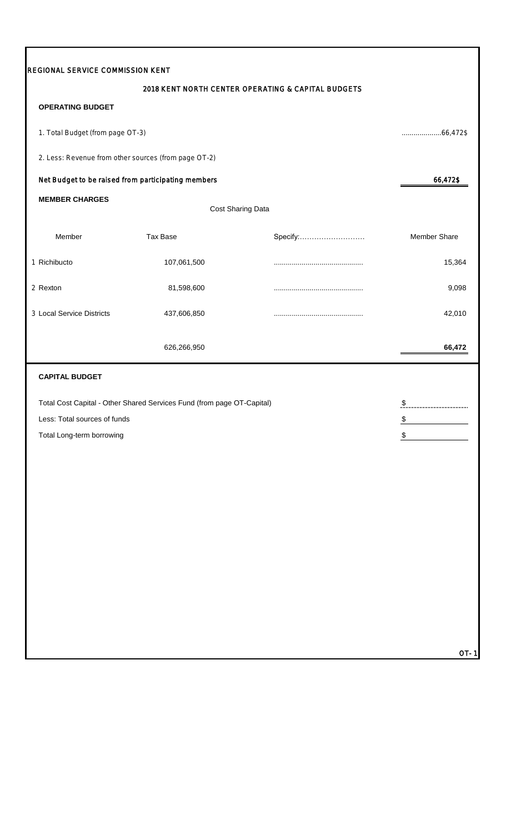| REGIONAL SERVICE COMMISSION KENT                     |                                                                        |                                                    |                                                            |
|------------------------------------------------------|------------------------------------------------------------------------|----------------------------------------------------|------------------------------------------------------------|
|                                                      |                                                                        | 2018 KENT NORTH CENTER OPERATING & CAPITAL BUDGETS |                                                            |
| <b>OPERATING BUDGET</b>                              |                                                                        |                                                    |                                                            |
| 1. Total Budget (from page OT-3)                     |                                                                        |                                                    | $\ldots \ldots \ldots \ldots \ldots \ldots \ldots 66,472\$ |
| 2. Less: Revenue from other sources (from page OT-2) |                                                                        |                                                    |                                                            |
| Net Budget to be raised from participating members   |                                                                        |                                                    | 66,472\$                                                   |
| <b>MEMBER CHARGES</b>                                |                                                                        | Cost Sharing Data                                  |                                                            |
| Member                                               | <b>Tax Base</b>                                                        | Specify:                                           | <b>Member Share</b>                                        |
| 1 Richibucto                                         | 107,061,500                                                            |                                                    | 15,364                                                     |
| 2 Rexton                                             | 81,598,600                                                             |                                                    | 9,098                                                      |
| 3 Local Service Districts                            | 437,606,850                                                            |                                                    | 42,010                                                     |
|                                                      | 626,266,950                                                            |                                                    | 66,472                                                     |
| <b>CAPITAL BUDGET</b>                                |                                                                        |                                                    |                                                            |
|                                                      | Total Cost Capital - Other Shared Services Fund (from page OT-Capital) |                                                    | <u>\$</u>                                                  |
| Less: Total sources of funds                         |                                                                        |                                                    | $\frac{1}{2}$                                              |
| Total Long-term borrowing                            |                                                                        |                                                    | \$                                                         |
|                                                      |                                                                        |                                                    |                                                            |
|                                                      |                                                                        |                                                    |                                                            |
|                                                      |                                                                        |                                                    |                                                            |
|                                                      |                                                                        |                                                    |                                                            |
|                                                      |                                                                        |                                                    |                                                            |
|                                                      |                                                                        |                                                    |                                                            |
|                                                      |                                                                        |                                                    |                                                            |
|                                                      |                                                                        |                                                    |                                                            |
|                                                      |                                                                        |                                                    |                                                            |
|                                                      |                                                                        |                                                    |                                                            |
|                                                      |                                                                        |                                                    | OT-1                                                       |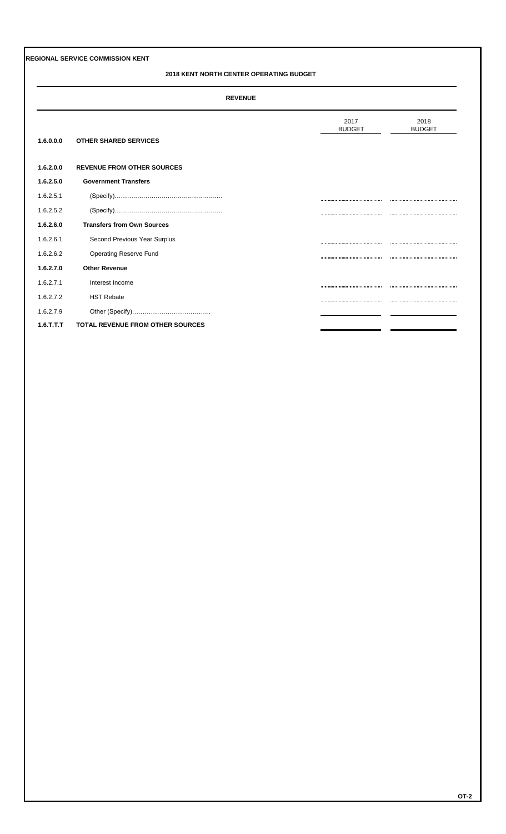#### **2018 KENT NORTH CENTER OPERATING BUDGET**

#### **REVENUE**

| 1.6.0.0.0 | <b>OTHER SHARED SERVICES</b>            | 2017<br><b>BUDGET</b> | 2018<br><b>BUDGET</b> |
|-----------|-----------------------------------------|-----------------------|-----------------------|
|           |                                         |                       |                       |
| 1.6.2.0.0 | <b>REVENUE FROM OTHER SOURCES</b>       |                       |                       |
| 1.6.2.5.0 | <b>Government Transfers</b>             |                       |                       |
| 1.6.2.5.1 |                                         |                       |                       |
| 1.6.2.5.2 |                                         |                       |                       |
| 1.6.2.6.0 | <b>Transfers from Own Sources</b>       |                       |                       |
| 1.6.2.6.1 | Second Previous Year Surplus            |                       |                       |
| 1.6.2.6.2 | Operating Reserve Fund                  |                       |                       |
| 1.6.2.7.0 | <b>Other Revenue</b>                    |                       |                       |
| 1.6.2.7.1 | Interest Income                         |                       |                       |
| 1.6.2.7.2 | <b>HST Rebate</b>                       |                       |                       |
| 1.6.2.7.9 |                                         |                       |                       |
| 1.6.T.T.T | <b>TOTAL REVENUE FROM OTHER SOURCES</b> |                       |                       |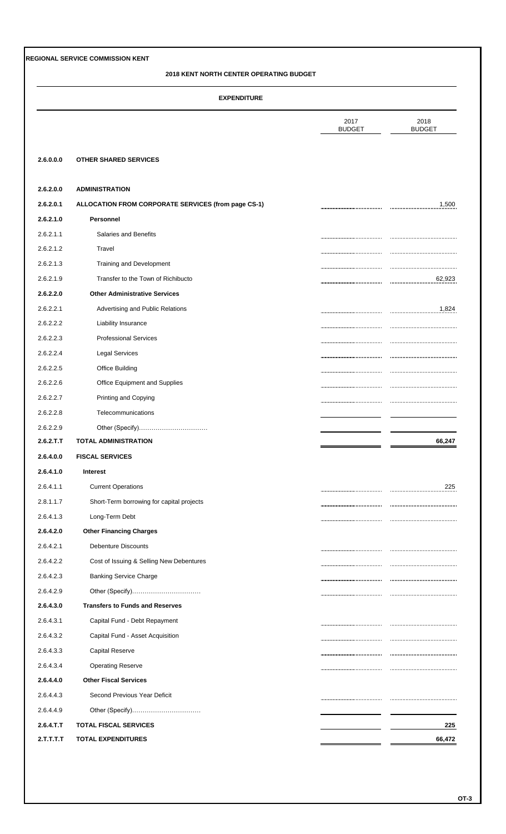### **2018 KENT NORTH CENTER OPERATING BUDGET**

| <b>EXPENDITURE</b> |  |  |
|--------------------|--|--|
|                    |  |  |

|            |                                                     | 2017<br><b>BUDGET</b> | 2018<br><b>BUDGET</b> |
|------------|-----------------------------------------------------|-----------------------|-----------------------|
| 2.6.0.0.0  | <b>OTHER SHARED SERVICES</b>                        |                       |                       |
| 2.6.2.0.0  | <b>ADMINISTRATION</b>                               |                       |                       |
| 2.6.2.0.1  | ALLOCATION FROM CORPORATE SERVICES (from page CS-1) |                       | 1,500                 |
| 2.6.2.1.0  | Personnel                                           |                       |                       |
| 2.6.2.1.1  | Salaries and Benefits                               |                       |                       |
| 2.6.2.1.2  | Travel                                              |                       |                       |
| 2.6.2.1.3  | Training and Development                            |                       |                       |
| 2.6.2.1.9  | Transfer to the Town of Richibucto                  |                       | 62,923                |
| 2.6.2.2.0  | <b>Other Administrative Services</b>                |                       |                       |
| 2.6.2.2.1  | Advertising and Public Relations                    |                       | 1,824                 |
| 2.6.2.2.2  | Liability Insurance                                 |                       |                       |
| 2.6.2.2.3  | <b>Professional Services</b>                        |                       |                       |
| 2.6.2.2.4  | <b>Legal Services</b>                               |                       |                       |
| 2.6.2.2.5  | <b>Office Building</b>                              |                       |                       |
| 2.6.2.2.6  | Office Equipment and Supplies                       |                       |                       |
| 2.6.2.2.7  | Printing and Copying                                |                       |                       |
| 2.6.2.2.8  | Telecommunications                                  |                       |                       |
| 2.6.2.2.9  | Other (Specify)                                     |                       |                       |
| 2.6.2.T.T  | <b>TOTAL ADMINISTRATION</b>                         |                       | 66,247                |
| 2.6.4.0.0  | <b>FISCAL SERVICES</b>                              |                       |                       |
| 2.6.4.1.0  | Interest                                            |                       |                       |
| 2.6.4.1.1  | <b>Current Operations</b>                           |                       | 225                   |
| 2.8.1.1.7  | Short-Term borrowing for capital projects           |                       |                       |
| 2.6.4.1.3  | Long-Term Debt                                      |                       |                       |
| 2.6.4.2.0  | <b>Other Financing Charges</b>                      |                       |                       |
| 2.6.4.2.1  | <b>Debenture Discounts</b>                          |                       |                       |
| 2.6.4.2.2  | Cost of Issuing & Selling New Debentures            |                       |                       |
| 2.6.4.2.3  | <b>Banking Service Charge</b>                       |                       |                       |
| 2.6.4.2.9  |                                                     |                       |                       |
| 2.6.4.3.0  | <b>Transfers to Funds and Reserves</b>              |                       |                       |
| 2.6.4.3.1  | Capital Fund - Debt Repayment                       |                       |                       |
| 2.6.4.3.2  | Capital Fund - Asset Acquisition                    |                       |                       |
| 2.6.4.3.3  | <b>Capital Reserve</b>                              |                       |                       |
| 2.6.4.3.4  | <b>Operating Reserve</b>                            |                       |                       |
|            | <b>Other Fiscal Services</b>                        |                       |                       |
| 2.6.4.4.0  |                                                     |                       |                       |
| 2.6.4.4.3  | Second Previous Year Deficit                        |                       |                       |
| 2.6.4.4.9  | Other (Specify)                                     |                       |                       |
| 2.6.4. T.T | <b>TOTAL FISCAL SERVICES</b>                        |                       | 225                   |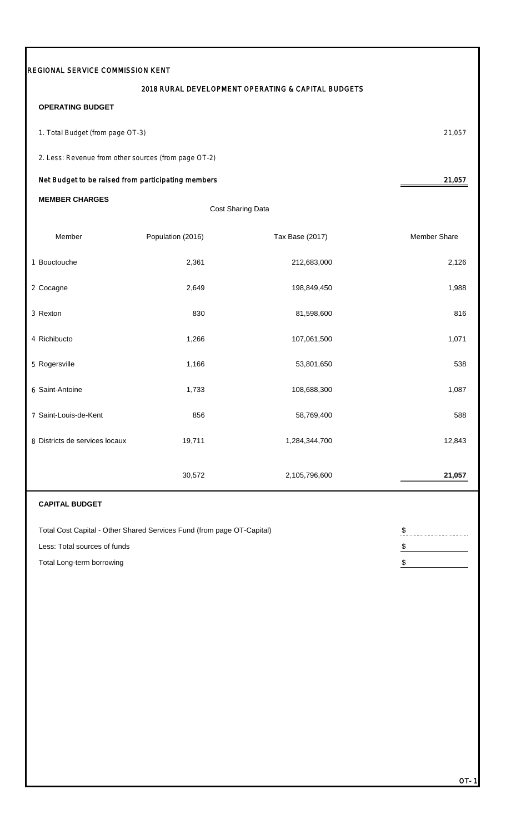| 2018 RURAL DEVELOPMENT OPERATING & CAPITAL BUDGETS<br><b>OPERATING BUDGET</b><br>1. Total Budget (from page OT-3)<br>2. Less: Revenue from other sources (from page OT-2)<br>Net Budget to be raised from participating members<br><b>MEMBER CHARGES</b><br>Cost Sharing Data<br>Member<br>Population (2016)<br>Tax Base (2017)<br>1 Bouctouche<br>2,361<br>212,683,000<br>2,649<br>2 Cocagne<br>198,849,450<br>3 Rexton<br>830<br>81,598,600<br>4 Richibucto<br>1,266<br>107,061,500<br>5 Rogersville<br>1,166<br>53,801,650<br>6 Saint-Antoine<br>1,733<br>108,688,300<br>7 Saint-Louis-de-Kent<br>856<br>58,769,400<br>19,711<br>8 Districts de services locaux<br>1,284,344,700<br>30,572<br>2,105,796,600<br><b>CAPITAL BUDGET</b><br>Total Cost Capital - Other Shared Services Fund (from page OT-Capital)<br>$\boldsymbol{\theta}$ | REGIONAL SERVICE COMMISSION KENT |  |                     |
|--------------------------------------------------------------------------------------------------------------------------------------------------------------------------------------------------------------------------------------------------------------------------------------------------------------------------------------------------------------------------------------------------------------------------------------------------------------------------------------------------------------------------------------------------------------------------------------------------------------------------------------------------------------------------------------------------------------------------------------------------------------------------------------------------------------------------------------------|----------------------------------|--|---------------------|
|                                                                                                                                                                                                                                                                                                                                                                                                                                                                                                                                                                                                                                                                                                                                                                                                                                            |                                  |  |                     |
|                                                                                                                                                                                                                                                                                                                                                                                                                                                                                                                                                                                                                                                                                                                                                                                                                                            |                                  |  |                     |
|                                                                                                                                                                                                                                                                                                                                                                                                                                                                                                                                                                                                                                                                                                                                                                                                                                            |                                  |  | 21,057              |
|                                                                                                                                                                                                                                                                                                                                                                                                                                                                                                                                                                                                                                                                                                                                                                                                                                            |                                  |  |                     |
|                                                                                                                                                                                                                                                                                                                                                                                                                                                                                                                                                                                                                                                                                                                                                                                                                                            |                                  |  | 21,057              |
|                                                                                                                                                                                                                                                                                                                                                                                                                                                                                                                                                                                                                                                                                                                                                                                                                                            |                                  |  |                     |
|                                                                                                                                                                                                                                                                                                                                                                                                                                                                                                                                                                                                                                                                                                                                                                                                                                            |                                  |  |                     |
|                                                                                                                                                                                                                                                                                                                                                                                                                                                                                                                                                                                                                                                                                                                                                                                                                                            |                                  |  | <b>Member Share</b> |
|                                                                                                                                                                                                                                                                                                                                                                                                                                                                                                                                                                                                                                                                                                                                                                                                                                            |                                  |  | 2,126               |
|                                                                                                                                                                                                                                                                                                                                                                                                                                                                                                                                                                                                                                                                                                                                                                                                                                            |                                  |  | 1,988               |
|                                                                                                                                                                                                                                                                                                                                                                                                                                                                                                                                                                                                                                                                                                                                                                                                                                            |                                  |  | 816                 |
|                                                                                                                                                                                                                                                                                                                                                                                                                                                                                                                                                                                                                                                                                                                                                                                                                                            |                                  |  | 1,071               |
|                                                                                                                                                                                                                                                                                                                                                                                                                                                                                                                                                                                                                                                                                                                                                                                                                                            |                                  |  | 538                 |
|                                                                                                                                                                                                                                                                                                                                                                                                                                                                                                                                                                                                                                                                                                                                                                                                                                            |                                  |  | 1,087               |
|                                                                                                                                                                                                                                                                                                                                                                                                                                                                                                                                                                                                                                                                                                                                                                                                                                            |                                  |  | 588                 |
|                                                                                                                                                                                                                                                                                                                                                                                                                                                                                                                                                                                                                                                                                                                                                                                                                                            |                                  |  | 12,843              |
|                                                                                                                                                                                                                                                                                                                                                                                                                                                                                                                                                                                                                                                                                                                                                                                                                                            |                                  |  | 21,057              |
|                                                                                                                                                                                                                                                                                                                                                                                                                                                                                                                                                                                                                                                                                                                                                                                                                                            |                                  |  |                     |
|                                                                                                                                                                                                                                                                                                                                                                                                                                                                                                                                                                                                                                                                                                                                                                                                                                            |                                  |  |                     |
| Less: Total sources of funds<br>$\frac{1}{2}$                                                                                                                                                                                                                                                                                                                                                                                                                                                                                                                                                                                                                                                                                                                                                                                              |                                  |  |                     |
| Total Long-term borrowing<br>\$                                                                                                                                                                                                                                                                                                                                                                                                                                                                                                                                                                                                                                                                                                                                                                                                            |                                  |  |                     |

П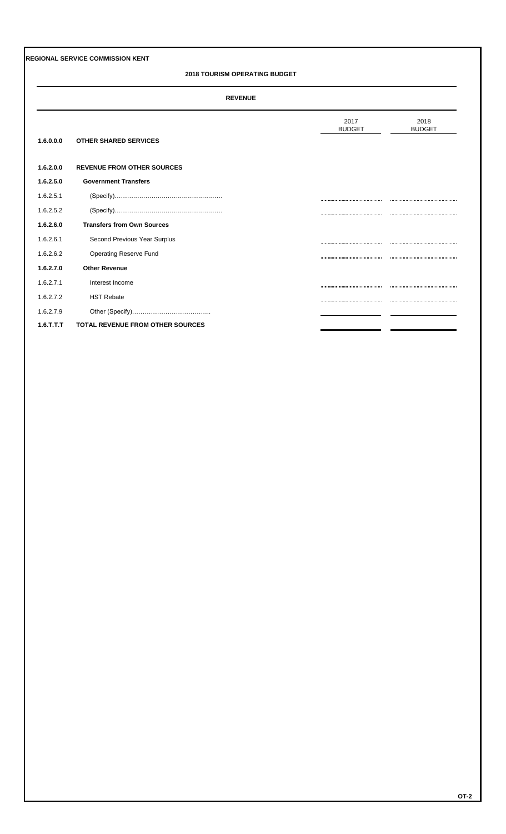#### **2018 TOURISM OPERATING BUDGET**

#### **REVENUE**

|              |                                         | 2017<br><b>BUDGET</b> | 2018<br><b>BUDGET</b> |
|--------------|-----------------------------------------|-----------------------|-----------------------|
| 1.6.0.0.0    | <b>OTHER SHARED SERVICES</b>            |                       |                       |
| 1.6.2.0.0    | <b>REVENUE FROM OTHER SOURCES</b>       |                       |                       |
| 1.6.2.5.0    | <b>Government Transfers</b>             |                       |                       |
| 1.6.2.5.1    |                                         |                       |                       |
| 1.6.2.5.2    |                                         |                       |                       |
| 1.6.2.6.0    | <b>Transfers from Own Sources</b>       |                       |                       |
| 1.6.2.6.1    | Second Previous Year Surplus            |                       |                       |
| 1.6.2.6.2    | Operating Reserve Fund                  |                       |                       |
| 1.6.2.7.0    | <b>Other Revenue</b>                    |                       |                       |
| 1.6.2.7.1    | Interest Income                         |                       |                       |
| 1.6.2.7.2    | <b>HST Rebate</b>                       |                       |                       |
| 1.6.2.7.9    |                                         |                       |                       |
| $1.6$ .T.T.T | <b>TOTAL REVENUE FROM OTHER SOURCES</b> |                       |                       |